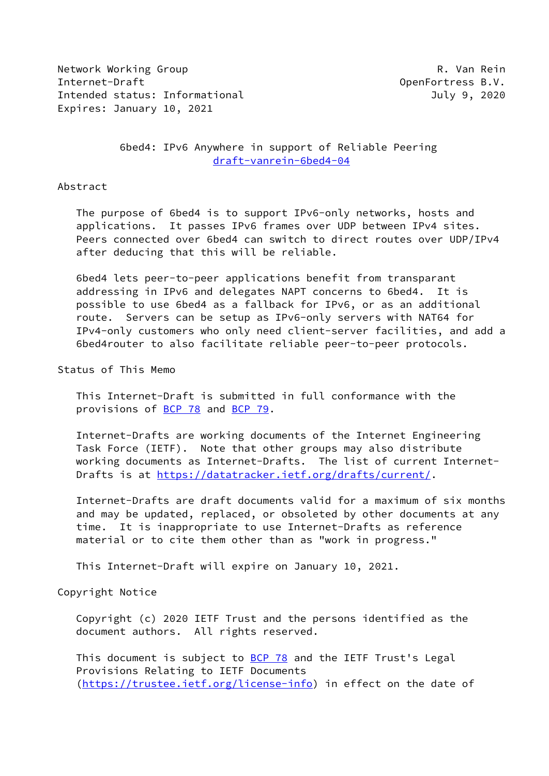Network Working Group **R. Van Rein** Internet-Draft OpenFortress B.V. Intended status: Informational and a status: July 9, 2020 Expires: January 10, 2021

 6bed4: IPv6 Anywhere in support of Reliable Peering [draft-vanrein-6bed4-04](https://datatracker.ietf.org/doc/pdf/draft-vanrein-6bed4-04)

#### Abstract

 The purpose of 6bed4 is to support IPv6-only networks, hosts and applications. It passes IPv6 frames over UDP between IPv4 sites. Peers connected over 6bed4 can switch to direct routes over UDP/IPv4 after deducing that this will be reliable.

 6bed4 lets peer-to-peer applications benefit from transparant addressing in IPv6 and delegates NAPT concerns to 6bed4. It is possible to use 6bed4 as a fallback for IPv6, or as an additional route. Servers can be setup as IPv6-only servers with NAT64 for IPv4-only customers who only need client-server facilities, and add a 6bed4router to also facilitate reliable peer-to-peer protocols.

Status of This Memo

 This Internet-Draft is submitted in full conformance with the provisions of [BCP 78](https://datatracker.ietf.org/doc/pdf/bcp78) and [BCP 79](https://datatracker.ietf.org/doc/pdf/bcp79).

 Internet-Drafts are working documents of the Internet Engineering Task Force (IETF). Note that other groups may also distribute working documents as Internet-Drafts. The list of current Internet- Drafts is at<https://datatracker.ietf.org/drafts/current/>.

 Internet-Drafts are draft documents valid for a maximum of six months and may be updated, replaced, or obsoleted by other documents at any time. It is inappropriate to use Internet-Drafts as reference material or to cite them other than as "work in progress."

This Internet-Draft will expire on January 10, 2021.

# Copyright Notice

 Copyright (c) 2020 IETF Trust and the persons identified as the document authors. All rights reserved.

This document is subject to **[BCP 78](https://datatracker.ietf.org/doc/pdf/bcp78)** and the IETF Trust's Legal Provisions Relating to IETF Documents [\(https://trustee.ietf.org/license-info](https://trustee.ietf.org/license-info)) in effect on the date of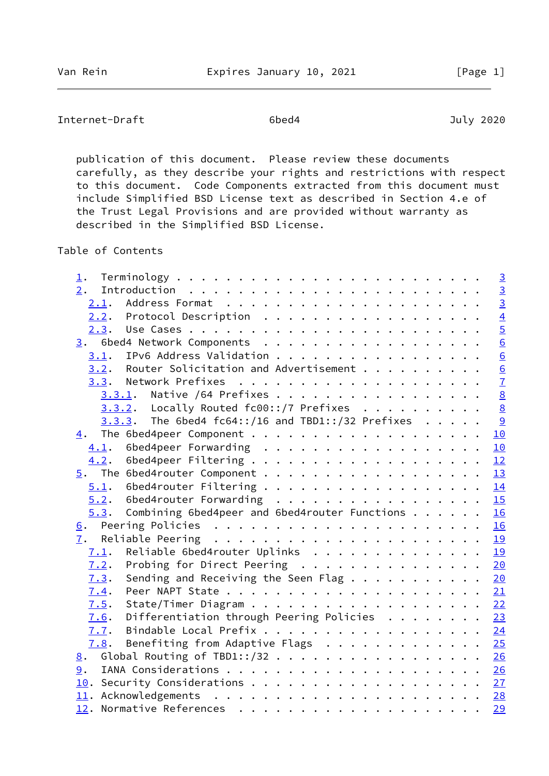Internet-Draft 6bed4 July 2020

 publication of this document. Please review these documents carefully, as they describe your rights and restrictions with respect to this document. Code Components extracted from this document must include Simplified BSD License text as described in Section 4.e of the Trust Legal Provisions and are provided without warranty as described in the Simplified BSD License.

Table of Contents

| 1.   |                                                             |  |  | $\overline{3}$   |
|------|-------------------------------------------------------------|--|--|------------------|
| 2.   |                                                             |  |  | $\overline{3}$   |
| 2.1. |                                                             |  |  | $\overline{3}$   |
|      | 2.2. Protocol Description                                   |  |  |                  |
|      |                                                             |  |  | $\frac{4}{5}$    |
|      | 3. 6bed4 Network Components                                 |  |  | $\underline{6}$  |
| 3.1. | IPv6 Address Validation                                     |  |  | $6 \overline{6}$ |
| 3.2. | Router Solicitation and Advertisement                       |  |  | $\frac{6}{7}$    |
|      |                                                             |  |  |                  |
|      | 3.3.1. Native /64 Prefixes                                  |  |  |                  |
|      | $3.3.2$ . Locally Routed fc00::/7 Prefixes                  |  |  | $\underline{8}$  |
|      | 3.3.3. The 6bed4 fc64::/16 and TBD1::/32 Prefixes           |  |  | $\frac{9}{2}$    |
| 4.   |                                                             |  |  | 10               |
|      |                                                             |  |  | 10               |
| 4.2. |                                                             |  |  | 12               |
| 5.   |                                                             |  |  | 13               |
|      | $5.1.$ 6bed4router Filtering 14                             |  |  |                  |
|      | 5.2. 6bed4router Forwarding 15                              |  |  |                  |
| 5.3. | Combining 6bed4peer and 6bed4router Functions               |  |  | 16               |
|      |                                                             |  |  |                  |
| 7.   |                                                             |  |  |                  |
| 7.1. | Reliable 6bed4router Uplinks 19                             |  |  |                  |
| 7.2. | Probing for Direct Peering 20                               |  |  |                  |
| 7.3. | Sending and Receiving the Seen Flag 20                      |  |  |                  |
| 7.4. |                                                             |  |  |                  |
| 7.5. |                                                             |  |  |                  |
| 7.6. | Differentiation through Peering Policies $\cdots \cdots$ 23 |  |  |                  |
| 7.7. |                                                             |  |  | 24               |
| 7.8. | Benefiting from Adaptive Flags $\ldots$ 25                  |  |  |                  |
| 8.   | Global Routing of TBD1::/32 26                              |  |  |                  |
| 9.   |                                                             |  |  |                  |
|      |                                                             |  |  |                  |
|      |                                                             |  |  |                  |
|      |                                                             |  |  | 29               |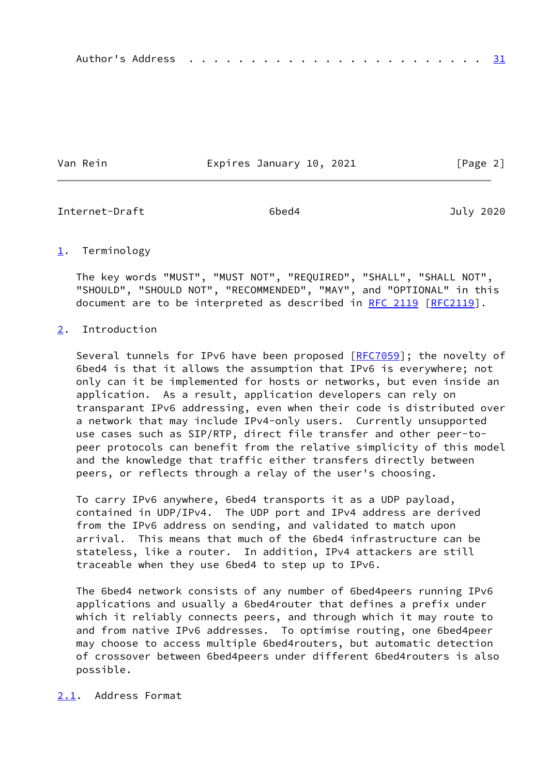Van Rein **Expires January 10, 2021** [Page 2]

<span id="page-2-1"></span>Internet-Draft 6bed4 July 2020

# <span id="page-2-0"></span>[1](#page-2-0). Terminology

 The key words "MUST", "MUST NOT", "REQUIRED", "SHALL", "SHALL NOT", "SHOULD", "SHOULD NOT", "RECOMMENDED", "MAY", and "OPTIONAL" in this document are to be interpreted as described in [RFC 2119 \[RFC2119](https://datatracker.ietf.org/doc/pdf/rfc2119)].

# <span id="page-2-2"></span>[2](#page-2-2). Introduction

Several tunnels for IPv6 have been proposed [\[RFC7059](https://datatracker.ietf.org/doc/pdf/rfc7059)]; the novelty of 6bed4 is that it allows the assumption that IPv6 is everywhere; not only can it be implemented for hosts or networks, but even inside an application. As a result, application developers can rely on transparant IPv6 addressing, even when their code is distributed over a network that may include IPv4-only users. Currently unsupported use cases such as SIP/RTP, direct file transfer and other peer-to peer protocols can benefit from the relative simplicity of this model and the knowledge that traffic either transfers directly between peers, or reflects through a relay of the user's choosing.

 To carry IPv6 anywhere, 6bed4 transports it as a UDP payload, contained in UDP/IPv4. The UDP port and IPv4 address are derived from the IPv6 address on sending, and validated to match upon arrival. This means that much of the 6bed4 infrastructure can be stateless, like a router. In addition, IPv4 attackers are still traceable when they use 6bed4 to step up to IPv6.

 The 6bed4 network consists of any number of 6bed4peers running IPv6 applications and usually a 6bed4router that defines a prefix under which it reliably connects peers, and through which it may route to and from native IPv6 addresses. To optimise routing, one 6bed4peer may choose to access multiple 6bed4routers, but automatic detection of crossover between 6bed4peers under different 6bed4routers is also possible.

# <span id="page-2-3"></span>[2.1](#page-2-3). Address Format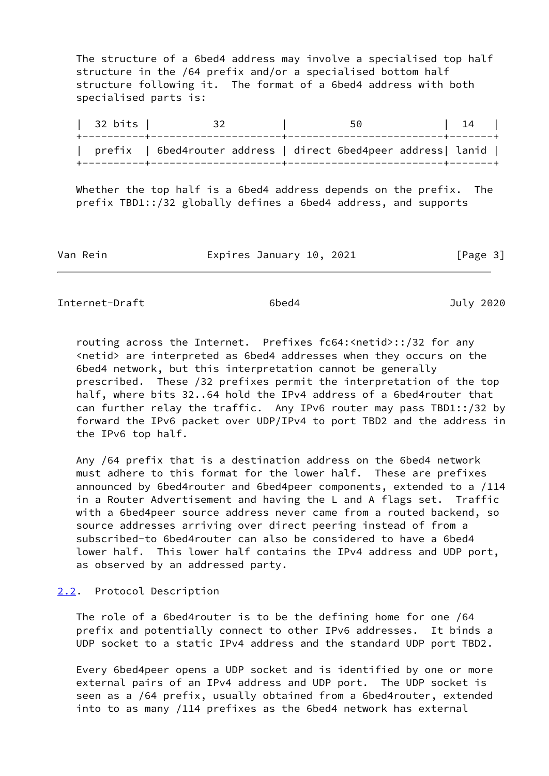The structure of a 6bed4 address may involve a specialised top half structure in the /64 prefix and/or a specialised bottom half structure following it. The format of a 6bed4 address with both specialised parts is:

| 32 bits | 32 | 50 | 14 | +----------+---------------------+-------------------------+-------+ | prefix | 6bed4router address | direct 6bed4peer address| lanid | +----------+---------------------+-------------------------+-------+

 Whether the top half is a 6bed4 address depends on the prefix. The prefix TBD1::/32 globally defines a 6bed4 address, and supports

Van Rein **Expires January 10, 2021** [Page 3]

<span id="page-3-1"></span>Internet-Draft 6bed4 July 2020

 routing across the Internet. Prefixes fc64:<netid>::/32 for any <netid> are interpreted as 6bed4 addresses when they occurs on the 6bed4 network, but this interpretation cannot be generally prescribed. These /32 prefixes permit the interpretation of the top half, where bits 32..64 hold the IPv4 address of a 6bed4router that can further relay the traffic. Any IPv6 router may pass TBD1::/32 by forward the IPv6 packet over UDP/IPv4 to port TBD2 and the address in the IPv6 top half.

 Any /64 prefix that is a destination address on the 6bed4 network must adhere to this format for the lower half. These are prefixes announced by 6bed4router and 6bed4peer components, extended to a /114 in a Router Advertisement and having the L and A flags set. Traffic with a 6bed4peer source address never came from a routed backend, so source addresses arriving over direct peering instead of from a subscribed-to 6bed4router can also be considered to have a 6bed4 lower half. This lower half contains the IPv4 address and UDP port, as observed by an addressed party.

# <span id="page-3-0"></span>[2.2](#page-3-0). Protocol Description

 The role of a 6bed4router is to be the defining home for one /64 prefix and potentially connect to other IPv6 addresses. It binds a UDP socket to a static IPv4 address and the standard UDP port TBD2.

 Every 6bed4peer opens a UDP socket and is identified by one or more external pairs of an IPv4 address and UDP port. The UDP socket is seen as a /64 prefix, usually obtained from a 6bed4router, extended into to as many /114 prefixes as the 6bed4 network has external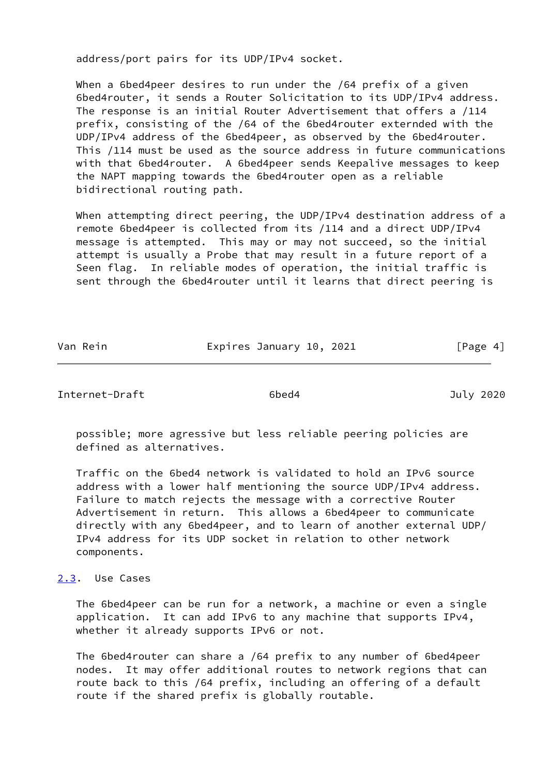address/port pairs for its UDP/IPv4 socket.

 When a 6bed4peer desires to run under the /64 prefix of a given 6bed4router, it sends a Router Solicitation to its UDP/IPv4 address. The response is an initial Router Advertisement that offers a /114 prefix, consisting of the /64 of the 6bed4router externded with the UDP/IPv4 address of the 6bed4peer, as observed by the 6bed4router. This /114 must be used as the source address in future communications with that 6bed4router. A 6bed4peer sends Keepalive messages to keep the NAPT mapping towards the 6bed4router open as a reliable bidirectional routing path.

 When attempting direct peering, the UDP/IPv4 destination address of a remote 6bed4peer is collected from its /114 and a direct UDP/IPv4 message is attempted. This may or may not succeed, so the initial attempt is usually a Probe that may result in a future report of a Seen flag. In reliable modes of operation, the initial traffic is sent through the 6bed4router until it learns that direct peering is

| Van Rein | Expires January 10, 2021 | [Page 4] |
|----------|--------------------------|----------|
|          |                          |          |

<span id="page-4-1"></span>Internet-Draft 6bed4 July 2020

 possible; more agressive but less reliable peering policies are defined as alternatives.

 Traffic on the 6bed4 network is validated to hold an IPv6 source address with a lower half mentioning the source UDP/IPv4 address. Failure to match rejects the message with a corrective Router Advertisement in return. This allows a 6bed4peer to communicate directly with any 6bed4peer, and to learn of another external UDP/ IPv4 address for its UDP socket in relation to other network components.

## <span id="page-4-0"></span>[2.3](#page-4-0). Use Cases

 The 6bed4peer can be run for a network, a machine or even a single application. It can add IPv6 to any machine that supports IPv4, whether it already supports IPv6 or not.

 The 6bed4router can share a /64 prefix to any number of 6bed4peer nodes. It may offer additional routes to network regions that can route back to this /64 prefix, including an offering of a default route if the shared prefix is globally routable.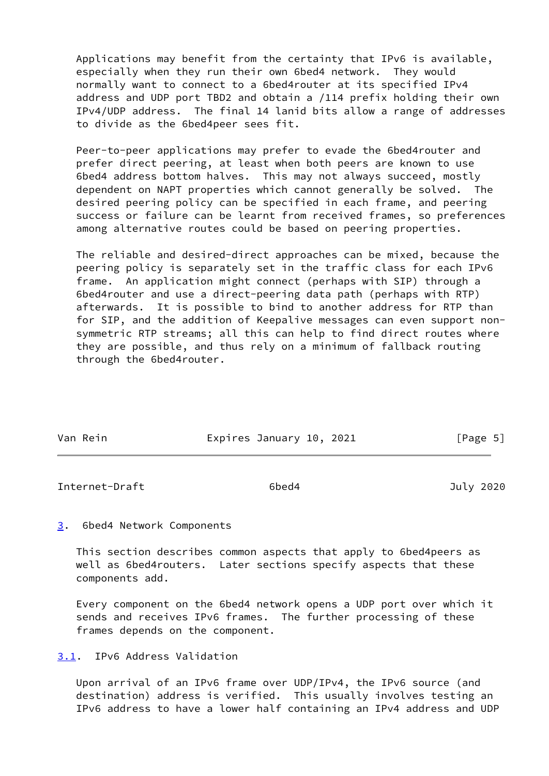Applications may benefit from the certainty that IPv6 is available, especially when they run their own 6bed4 network. They would normally want to connect to a 6bed4router at its specified IPv4 address and UDP port TBD2 and obtain a /114 prefix holding their own IPv4/UDP address. The final 14 lanid bits allow a range of addresses to divide as the 6bed4peer sees fit.

 Peer-to-peer applications may prefer to evade the 6bed4router and prefer direct peering, at least when both peers are known to use 6bed4 address bottom halves. This may not always succeed, mostly dependent on NAPT properties which cannot generally be solved. The desired peering policy can be specified in each frame, and peering success or failure can be learnt from received frames, so preferences among alternative routes could be based on peering properties.

 The reliable and desired-direct approaches can be mixed, because the peering policy is separately set in the traffic class for each IPv6 frame. An application might connect (perhaps with SIP) through a 6bed4router and use a direct-peering data path (perhaps with RTP) afterwards. It is possible to bind to another address for RTP than for SIP, and the addition of Keepalive messages can even support non symmetric RTP streams; all this can help to find direct routes where they are possible, and thus rely on a minimum of fallback routing through the 6bed4router.

| Van Rein | Expires January 10, 2021 |  | [Page 5] |  |
|----------|--------------------------|--|----------|--|

<span id="page-5-1"></span>Internet-Draft 6bed4 July 2020

## <span id="page-5-0"></span>[3](#page-5-0). 6bed4 Network Components

 This section describes common aspects that apply to 6bed4peers as well as 6bed4routers. Later sections specify aspects that these components add.

 Every component on the 6bed4 network opens a UDP port over which it sends and receives IPv6 frames. The further processing of these frames depends on the component.

# <span id="page-5-2"></span>[3.1](#page-5-2). IPv6 Address Validation

 Upon arrival of an IPv6 frame over UDP/IPv4, the IPv6 source (and destination) address is verified. This usually involves testing an IPv6 address to have a lower half containing an IPv4 address and UDP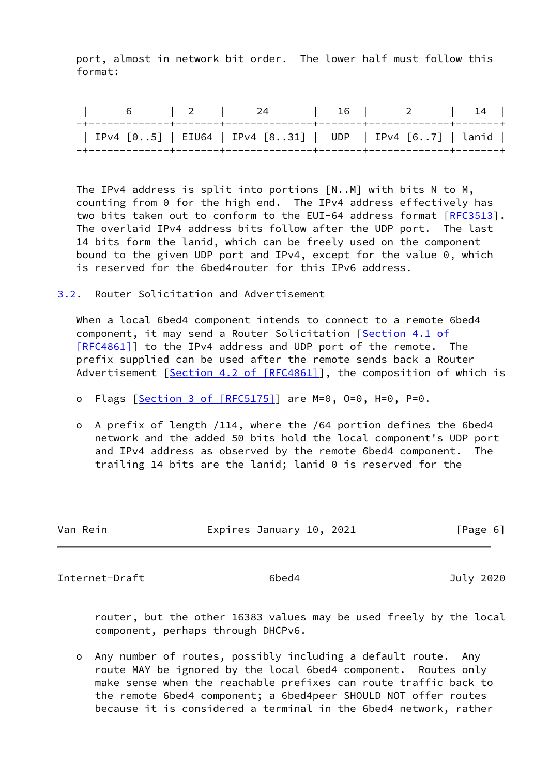port, almost in network bit order. The lower half must follow this format:

|  | 6   2   24   16   2   14                                 |  |  |
|--|----------------------------------------------------------|--|--|
|  | IPv4 [05]   EIU64   IPv4 [831]   UDP   IPv4 [67]   lanid |  |  |

 The IPv4 address is split into portions [N..M] with bits N to M, counting from 0 for the high end. The IPv4 address effectively has two bits taken out to conform to the EUI-64 address format [[RFC3513\]](https://datatracker.ietf.org/doc/pdf/rfc3513). The overlaid IPv4 address bits follow after the UDP port. The last 14 bits form the lanid, which can be freely used on the component bound to the given UDP port and IPv4, except for the value 0, which is reserved for the 6bed4router for this IPv6 address.

<span id="page-6-0"></span>[3.2](#page-6-0). Router Solicitation and Advertisement

 When a local 6bed4 component intends to connect to a remote 6bed4 component, it may send a Router Solicitation [\[Section](https://datatracker.ietf.org/doc/pdf/rfc4861#section-4.1) 4.1 of [RFC4861]] to the IPv4 address and UDP port of the remote. The prefix supplied can be used after the remote sends back a Router Advertisement [Section [4.2 of \[RFC4861\]\]](https://datatracker.ietf.org/doc/pdf/rfc4861#section-4.2), the composition of which is

- o Flags [Section [3 of \[RFC5175\]](https://datatracker.ietf.org/doc/pdf/rfc5175#section-3)] are M=0, O=0, H=0, P=0.
- o A prefix of length /114, where the /64 portion defines the 6bed4 network and the added 50 bits hold the local component's UDP port and IPv4 address as observed by the remote 6bed4 component. The trailing 14 bits are the lanid; lanid 0 is reserved for the

| Van Rein | Expires January 10, 2021 | [Page 6] |
|----------|--------------------------|----------|
|          |                          |          |

<span id="page-6-1"></span>Internet-Draft 6bed4 July 2020

 router, but the other 16383 values may be used freely by the local component, perhaps through DHCPv6.

 o Any number of routes, possibly including a default route. Any route MAY be ignored by the local 6bed4 component. Routes only make sense when the reachable prefixes can route traffic back to the remote 6bed4 component; a 6bed4peer SHOULD NOT offer routes because it is considered a terminal in the 6bed4 network, rather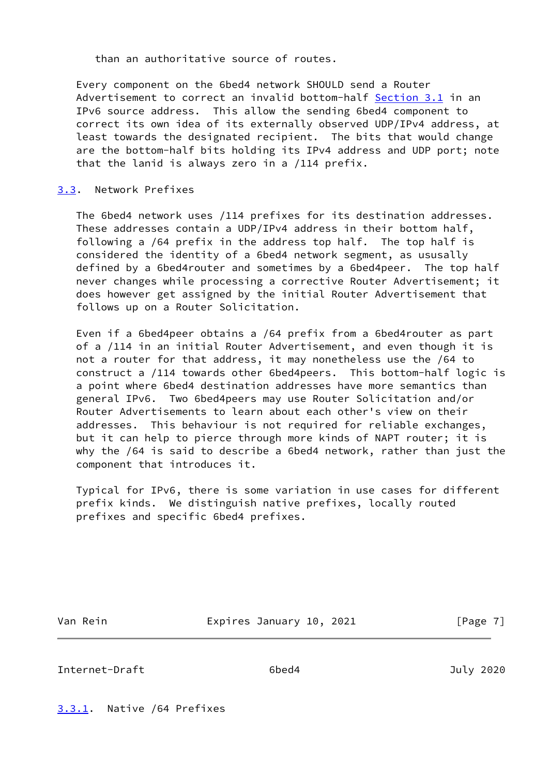than an authoritative source of routes.

 Every component on the 6bed4 network SHOULD send a Router Advertisement to correct an invalid bottom-half [Section 3.1](#page-5-2) in an IPv6 source address. This allow the sending 6bed4 component to correct its own idea of its externally observed UDP/IPv4 address, at least towards the designated recipient. The bits that would change are the bottom-half bits holding its IPv4 address and UDP port; note that the lanid is always zero in a /114 prefix.

# <span id="page-7-0"></span>[3.3](#page-7-0). Network Prefixes

 The 6bed4 network uses /114 prefixes for its destination addresses. These addresses contain a UDP/IPv4 address in their bottom half, following a /64 prefix in the address top half. The top half is considered the identity of a 6bed4 network segment, as ususally defined by a 6bed4router and sometimes by a 6bed4peer. The top half never changes while processing a corrective Router Advertisement; it does however get assigned by the initial Router Advertisement that follows up on a Router Solicitation.

 Even if a 6bed4peer obtains a /64 prefix from a 6bed4router as part of a /114 in an initial Router Advertisement, and even though it is not a router for that address, it may nonetheless use the /64 to construct a /114 towards other 6bed4peers. This bottom-half logic is a point where 6bed4 destination addresses have more semantics than general IPv6. Two 6bed4peers may use Router Solicitation and/or Router Advertisements to learn about each other's view on their addresses. This behaviour is not required for reliable exchanges, but it can help to pierce through more kinds of NAPT router; it is why the /64 is said to describe a 6bed4 network, rather than just the component that introduces it.

 Typical for IPv6, there is some variation in use cases for different prefix kinds. We distinguish native prefixes, locally routed prefixes and specific 6bed4 prefixes.

Van Rein **Expires January 10, 2021** [Page 7]

<span id="page-7-2"></span>Internet-Draft 6bed4 July 2020

<span id="page-7-1"></span>[3.3.1](#page-7-1). Native /64 Prefixes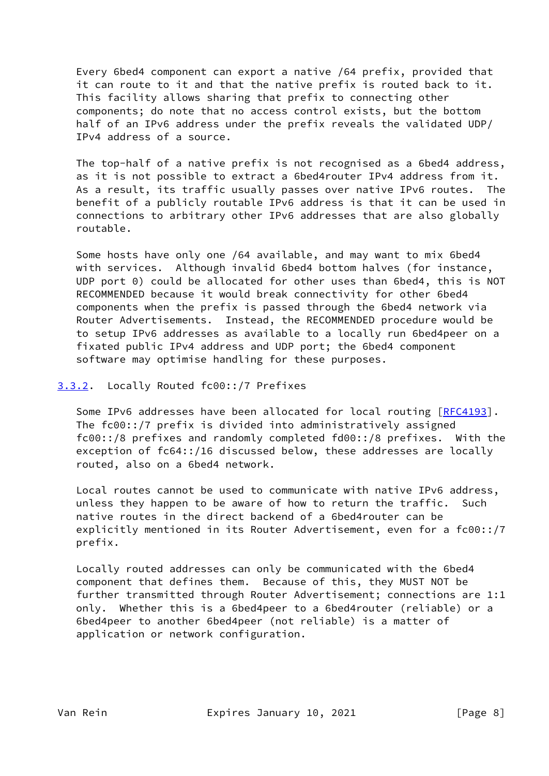Every 6bed4 component can export a native /64 prefix, provided that it can route to it and that the native prefix is routed back to it. This facility allows sharing that prefix to connecting other components; do note that no access control exists, but the bottom half of an IPv6 address under the prefix reveals the validated UDP/ IPv4 address of a source.

 The top-half of a native prefix is not recognised as a 6bed4 address, as it is not possible to extract a 6bed4router IPv4 address from it. As a result, its traffic usually passes over native IPv6 routes. The benefit of a publicly routable IPv6 address is that it can be used in connections to arbitrary other IPv6 addresses that are also globally routable.

 Some hosts have only one /64 available, and may want to mix 6bed4 with services. Although invalid 6bed4 bottom halves (for instance, UDP port 0) could be allocated for other uses than 6bed4, this is NOT RECOMMENDED because it would break connectivity for other 6bed4 components when the prefix is passed through the 6bed4 network via Router Advertisements. Instead, the RECOMMENDED procedure would be to setup IPv6 addresses as available to a locally run 6bed4peer on a fixated public IPv4 address and UDP port; the 6bed4 component software may optimise handling for these purposes.

## <span id="page-8-0"></span>[3.3.2](#page-8-0). Locally Routed fc00::/7 Prefixes

Some IPv6 addresses have been allocated for local routing [[RFC4193](https://datatracker.ietf.org/doc/pdf/rfc4193)]. The fc00::/7 prefix is divided into administratively assigned fc00::/8 prefixes and randomly completed fd00::/8 prefixes. With the exception of fc64::/16 discussed below, these addresses are locally routed, also on a 6bed4 network.

 Local routes cannot be used to communicate with native IPv6 address, unless they happen to be aware of how to return the traffic. Such native routes in the direct backend of a 6bed4router can be explicitly mentioned in its Router Advertisement, even for a fc00::/7 prefix.

 Locally routed addresses can only be communicated with the 6bed4 component that defines them. Because of this, they MUST NOT be further transmitted through Router Advertisement; connections are 1:1 only. Whether this is a 6bed4peer to a 6bed4router (reliable) or a 6bed4peer to another 6bed4peer (not reliable) is a matter of application or network configuration.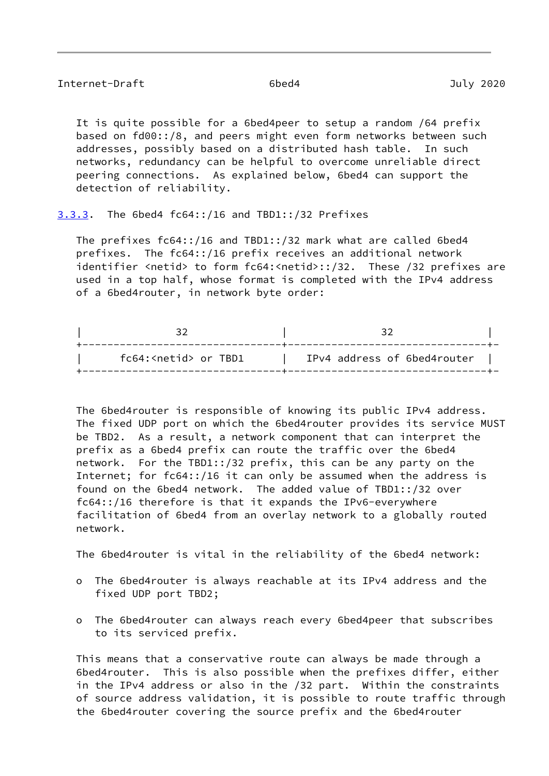<span id="page-9-1"></span>

|  |  | Internet-Draft |  |  |
|--|--|----------------|--|--|
|--|--|----------------|--|--|

 It is quite possible for a 6bed4peer to setup a random /64 prefix based on fd00::/8, and peers might even form networks between such addresses, possibly based on a distributed hash table. In such networks, redundancy can be helpful to overcome unreliable direct peering connections. As explained below, 6bed4 can support the detection of reliability.

<span id="page-9-0"></span>[3.3.3](#page-9-0). The 6bed4 fc64::/16 and TBD1::/32 Prefixes

 The prefixes fc64::/16 and TBD1::/32 mark what are called 6bed4 prefixes. The fc64::/16 prefix receives an additional network identifier <netid> to form fc64:<netid>::/32. These /32 prefixes are used in a top half, whose format is completed with the IPv4 address of a 6bed4router, in network byte order:

| fc64: <netid> or TBD1</netid> | IPv4 address of 6bed4router |  |
|-------------------------------|-----------------------------|--|

 The 6bed4router is responsible of knowing its public IPv4 address. The fixed UDP port on which the 6bed4router provides its service MUST be TBD2. As a result, a network component that can interpret the prefix as a 6bed4 prefix can route the traffic over the 6bed4 network. For the TBD1::/32 prefix, this can be any party on the Internet; for fc64::/16 it can only be assumed when the address is found on the 6bed4 network. The added value of TBD1::/32 over fc64::/16 therefore is that it expands the IPv6-everywhere facilitation of 6bed4 from an overlay network to a globally routed network.

The 6bed4router is vital in the reliability of the 6bed4 network:

- o The 6bed4router is always reachable at its IPv4 address and the fixed UDP port TBD2;
- o The 6bed4router can always reach every 6bed4peer that subscribes to its serviced prefix.

 This means that a conservative route can always be made through a 6bed4router. This is also possible when the prefixes differ, either in the IPv4 address or also in the /32 part. Within the constraints of source address validation, it is possible to route traffic through the 6bed4router covering the source prefix and the 6bed4router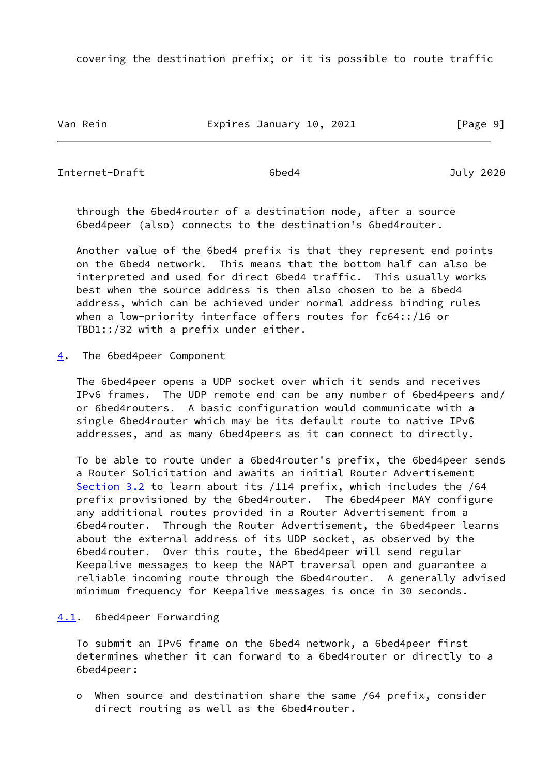covering the destination prefix; or it is possible to route traffic

Van Rein **Expires January 10, 2021** [Page 9]

<span id="page-10-1"></span>Internet-Draft 6bed4 July 2020

 through the 6bed4router of a destination node, after a source 6bed4peer (also) connects to the destination's 6bed4router.

 Another value of the 6bed4 prefix is that they represent end points on the 6bed4 network. This means that the bottom half can also be interpreted and used for direct 6bed4 traffic. This usually works best when the source address is then also chosen to be a 6bed4 address, which can be achieved under normal address binding rules when a low-priority interface offers routes for fc64::/16 or TBD1::/32 with a prefix under either.

<span id="page-10-0"></span>[4](#page-10-0). The 6bed4peer Component

 The 6bed4peer opens a UDP socket over which it sends and receives IPv6 frames. The UDP remote end can be any number of 6bed4peers and/ or 6bed4routers. A basic configuration would communicate with a single 6bed4router which may be its default route to native IPv6 addresses, and as many 6bed4peers as it can connect to directly.

 To be able to route under a 6bed4router's prefix, the 6bed4peer sends a Router Solicitation and awaits an initial Router Advertisement [Section 3.2](#page-6-0) to learn about its /114 prefix, which includes the /64 prefix provisioned by the 6bed4router. The 6bed4peer MAY configure any additional routes provided in a Router Advertisement from a 6bed4router. Through the Router Advertisement, the 6bed4peer learns about the external address of its UDP socket, as observed by the 6bed4router. Over this route, the 6bed4peer will send regular Keepalive messages to keep the NAPT traversal open and guarantee a reliable incoming route through the 6bed4router. A generally advised minimum frequency for Keepalive messages is once in 30 seconds.

# <span id="page-10-2"></span>[4.1](#page-10-2). 6bed4peer Forwarding

 To submit an IPv6 frame on the 6bed4 network, a 6bed4peer first determines whether it can forward to a 6bed4router or directly to a 6bed4peer:

 o When source and destination share the same /64 prefix, consider direct routing as well as the 6bed4router.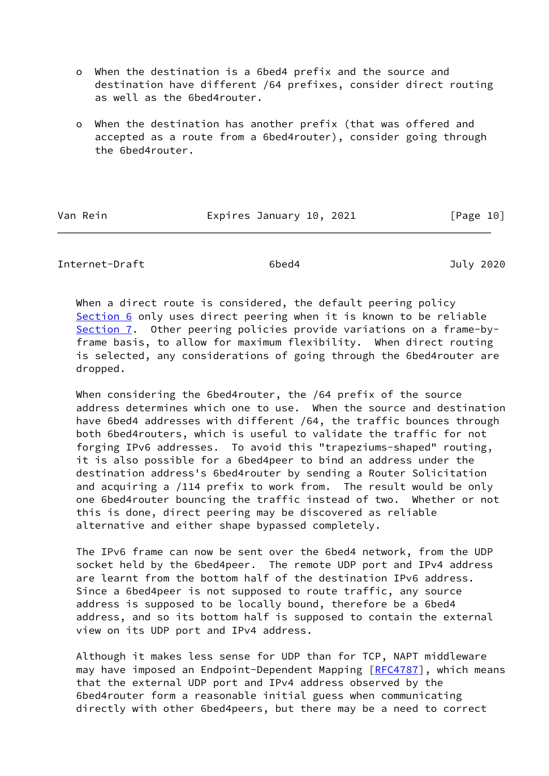- o When the destination is a 6bed4 prefix and the source and destination have different /64 prefixes, consider direct routing as well as the 6bed4router.
- o When the destination has another prefix (that was offered and accepted as a route from a 6bed4router), consider going through the 6bed4router.

Van Rein **Expires January 10, 2021** [Page 10]

Internet-Draft 6bed4 July 2020

When a direct route is considered, the default peering policy [Section 6](#page-17-2) only uses direct peering when it is known to be reliable [Section 7](#page-20-0). Other peering policies provide variations on a frame-by frame basis, to allow for maximum flexibility. When direct routing is selected, any considerations of going through the 6bed4router are dropped.

 When considering the 6bed4router, the /64 prefix of the source address determines which one to use. When the source and destination have 6bed4 addresses with different /64, the traffic bounces through both 6bed4routers, which is useful to validate the traffic for not forging IPv6 addresses. To avoid this "trapeziums-shaped" routing, it is also possible for a 6bed4peer to bind an address under the destination address's 6bed4router by sending a Router Solicitation and acquiring a /114 prefix to work from. The result would be only one 6bed4router bouncing the traffic instead of two. Whether or not this is done, direct peering may be discovered as reliable alternative and either shape bypassed completely.

 The IPv6 frame can now be sent over the 6bed4 network, from the UDP socket held by the 6bed4peer. The remote UDP port and IPv4 address are learnt from the bottom half of the destination IPv6 address. Since a 6bed4peer is not supposed to route traffic, any source address is supposed to be locally bound, therefore be a 6bed4 address, and so its bottom half is supposed to contain the external view on its UDP port and IPv4 address.

 Although it makes less sense for UDP than for TCP, NAPT middleware may have imposed an Endpoint-Dependent Mapping [\[RFC4787](https://datatracker.ietf.org/doc/pdf/rfc4787)], which means that the external UDP port and IPv4 address observed by the 6bed4router form a reasonable initial guess when communicating directly with other 6bed4peers, but there may be a need to correct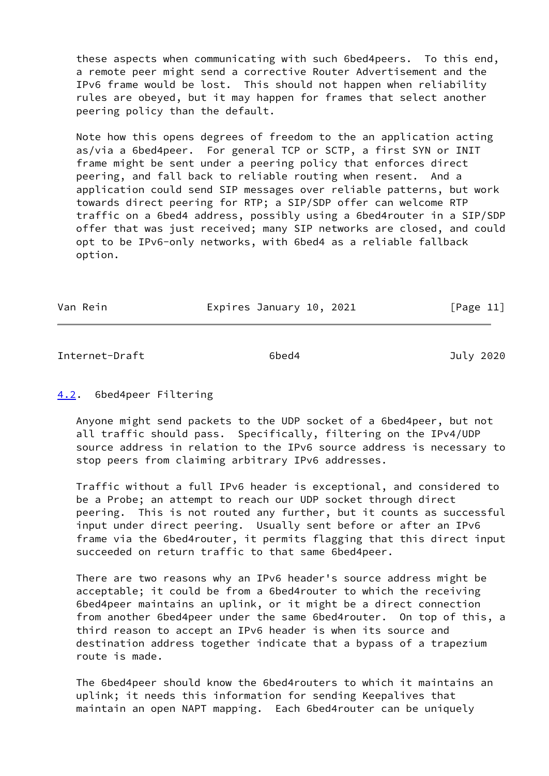these aspects when communicating with such 6bed4peers. To this end, a remote peer might send a corrective Router Advertisement and the IPv6 frame would be lost. This should not happen when reliability rules are obeyed, but it may happen for frames that select another peering policy than the default.

 Note how this opens degrees of freedom to the an application acting as/via a 6bed4peer. For general TCP or SCTP, a first SYN or INIT frame might be sent under a peering policy that enforces direct peering, and fall back to reliable routing when resent. And a application could send SIP messages over reliable patterns, but work towards direct peering for RTP; a SIP/SDP offer can welcome RTP traffic on a 6bed4 address, possibly using a 6bed4router in a SIP/SDP offer that was just received; many SIP networks are closed, and could opt to be IPv6-only networks, with 6bed4 as a reliable fallback option.

Van Rein **Expires January 10, 2021** [Page 11]

<span id="page-12-1"></span>Internet-Draft 6bed4 July 2020

# <span id="page-12-0"></span>[4.2](#page-12-0). 6bed4peer Filtering

 Anyone might send packets to the UDP socket of a 6bed4peer, but not all traffic should pass. Specifically, filtering on the IPv4/UDP source address in relation to the IPv6 source address is necessary to stop peers from claiming arbitrary IPv6 addresses.

 Traffic without a full IPv6 header is exceptional, and considered to be a Probe; an attempt to reach our UDP socket through direct peering. This is not routed any further, but it counts as successful input under direct peering. Usually sent before or after an IPv6 frame via the 6bed4router, it permits flagging that this direct input succeeded on return traffic to that same 6bed4peer.

 There are two reasons why an IPv6 header's source address might be acceptable; it could be from a 6bed4router to which the receiving 6bed4peer maintains an uplink, or it might be a direct connection from another 6bed4peer under the same 6bed4router. On top of this, a third reason to accept an IPv6 header is when its source and destination address together indicate that a bypass of a trapezium route is made.

 The 6bed4peer should know the 6bed4routers to which it maintains an uplink; it needs this information for sending Keepalives that maintain an open NAPT mapping. Each 6bed4router can be uniquely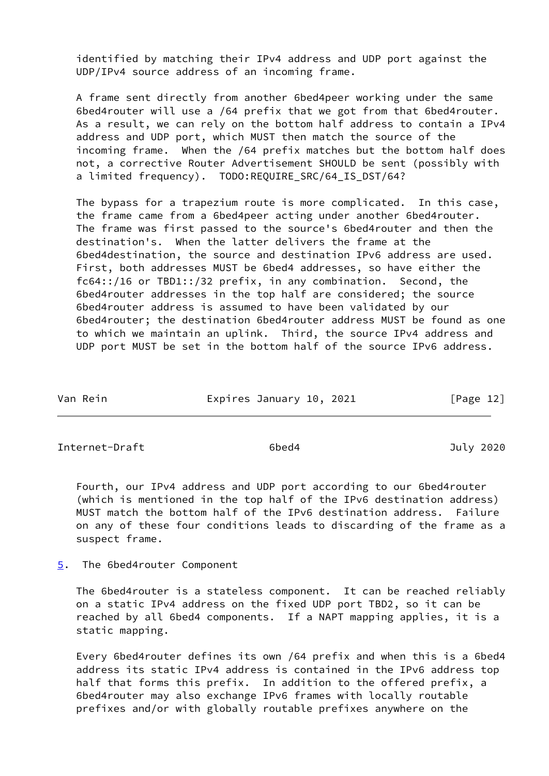identified by matching their IPv4 address and UDP port against the UDP/IPv4 source address of an incoming frame.

 A frame sent directly from another 6bed4peer working under the same 6bed4router will use a /64 prefix that we got from that 6bed4router. As a result, we can rely on the bottom half address to contain a IPv4 address and UDP port, which MUST then match the source of the incoming frame. When the /64 prefix matches but the bottom half does not, a corrective Router Advertisement SHOULD be sent (possibly with a limited frequency). TODO:REQUIRE SRC/64 IS DST/64?

 The bypass for a trapezium route is more complicated. In this case, the frame came from a 6bed4peer acting under another 6bed4router. The frame was first passed to the source's 6bed4router and then the destination's. When the latter delivers the frame at the 6bed4destination, the source and destination IPv6 address are used. First, both addresses MUST be 6bed4 addresses, so have either the fc64::/16 or TBD1::/32 prefix, in any combination. Second, the 6bed4router addresses in the top half are considered; the source 6bed4router address is assumed to have been validated by our 6bed4router; the destination 6bed4router address MUST be found as one to which we maintain an uplink. Third, the source IPv4 address and UDP port MUST be set in the bottom half of the source IPv6 address.

| Van Rein | Expires January 10, 2021 | [Page 12] |
|----------|--------------------------|-----------|
|          |                          |           |

<span id="page-13-1"></span>Internet-Draft 6bed4 July 2020

 Fourth, our IPv4 address and UDP port according to our 6bed4router (which is mentioned in the top half of the IPv6 destination address) MUST match the bottom half of the IPv6 destination address. Failure on any of these four conditions leads to discarding of the frame as a suspect frame.

<span id="page-13-0"></span>[5](#page-13-0). The 6bed4router Component

 The 6bed4router is a stateless component. It can be reached reliably on a static IPv4 address on the fixed UDP port TBD2, so it can be reached by all 6bed4 components. If a NAPT mapping applies, it is a static mapping.

 Every 6bed4router defines its own /64 prefix and when this is a 6bed4 address its static IPv4 address is contained in the IPv6 address top half that forms this prefix. In addition to the offered prefix, a 6bed4router may also exchange IPv6 frames with locally routable prefixes and/or with globally routable prefixes anywhere on the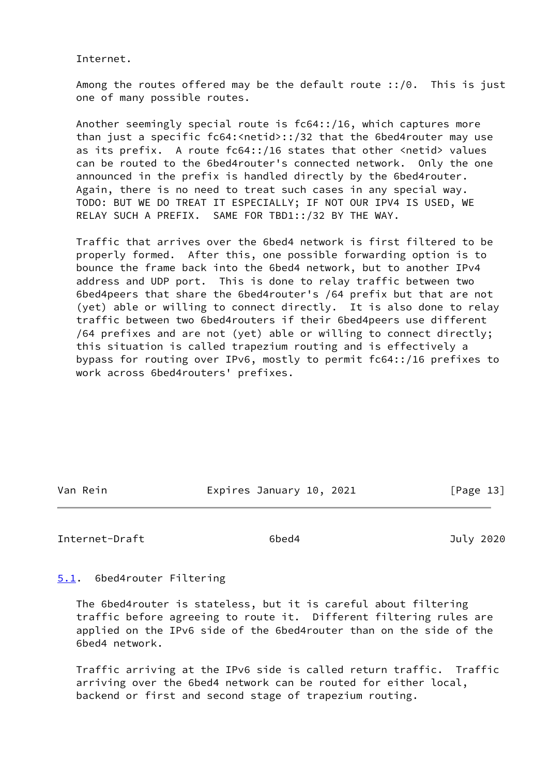Internet.

 Among the routes offered may be the default route ::/0. This is just one of many possible routes.

 Another seemingly special route is fc64::/16, which captures more than just a specific fc64:<netid>::/32 that the 6bed4router may use as its prefix. A route fc64::/16 states that other <netid> values can be routed to the 6bed4router's connected network. Only the one announced in the prefix is handled directly by the 6bed4router. Again, there is no need to treat such cases in any special way. TODO: BUT WE DO TREAT IT ESPECIALLY; IF NOT OUR IPV4 IS USED, WE RELAY SUCH A PREFIX. SAME FOR TBD1::/32 BY THE WAY.

 Traffic that arrives over the 6bed4 network is first filtered to be properly formed. After this, one possible forwarding option is to bounce the frame back into the 6bed4 network, but to another IPv4 address and UDP port. This is done to relay traffic between two 6bed4peers that share the 6bed4router's /64 prefix but that are not (yet) able or willing to connect directly. It is also done to relay traffic between two 6bed4routers if their 6bed4peers use different /64 prefixes and are not (yet) able or willing to connect directly; this situation is called trapezium routing and is effectively a bypass for routing over IPv6, mostly to permit fc64::/16 prefixes to work across 6bed4routers' prefixes.

Van Rein **Expires January 10, 2021** [Page 13]

<span id="page-14-1"></span>Internet-Draft 6bed4 July 2020

<span id="page-14-0"></span>[5.1](#page-14-0). 6bed4router Filtering

 The 6bed4router is stateless, but it is careful about filtering traffic before agreeing to route it. Different filtering rules are applied on the IPv6 side of the 6bed4router than on the side of the 6bed4 network.

 Traffic arriving at the IPv6 side is called return traffic. Traffic arriving over the 6bed4 network can be routed for either local, backend or first and second stage of trapezium routing.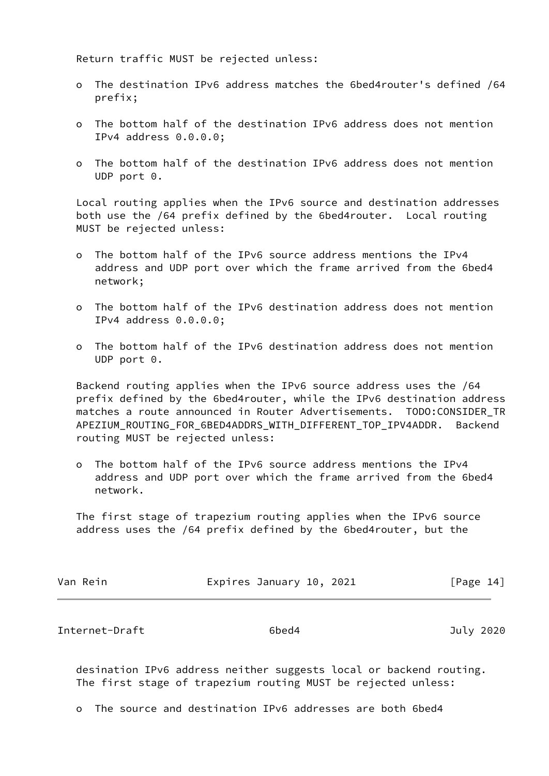Return traffic MUST be rejected unless:

- o The destination IPv6 address matches the 6bed4router's defined /64 prefix;
- o The bottom half of the destination IPv6 address does not mention IPv4 address 0.0.0.0;
- o The bottom half of the destination IPv6 address does not mention UDP port 0.

 Local routing applies when the IPv6 source and destination addresses both use the /64 prefix defined by the 6bed4router. Local routing MUST be rejected unless:

- o The bottom half of the IPv6 source address mentions the IPv4 address and UDP port over which the frame arrived from the 6bed4 network;
- o The bottom half of the IPv6 destination address does not mention IPv4 address 0.0.0.0;
- o The bottom half of the IPv6 destination address does not mention UDP port 0.

 Backend routing applies when the IPv6 source address uses the /64 prefix defined by the 6bed4router, while the IPv6 destination address matches a route announced in Router Advertisements. TODO:CONSIDER\_TR APEZIUM\_ROUTING\_FOR\_6BED4ADDRS\_WITH\_DIFFERENT\_TOP\_IPV4ADDR. Backend routing MUST be rejected unless:

 o The bottom half of the IPv6 source address mentions the IPv4 address and UDP port over which the frame arrived from the 6bed4 network.

 The first stage of trapezium routing applies when the IPv6 source address uses the /64 prefix defined by the 6bed4router, but the

| Van Rein | Expires January 10, 2021 | [Page 14] |  |
|----------|--------------------------|-----------|--|
|          |                          |           |  |

<span id="page-15-0"></span>Internet-Draft 6bed4 July 2020

 desination IPv6 address neither suggests local or backend routing. The first stage of trapezium routing MUST be rejected unless:

o The source and destination IPv6 addresses are both 6bed4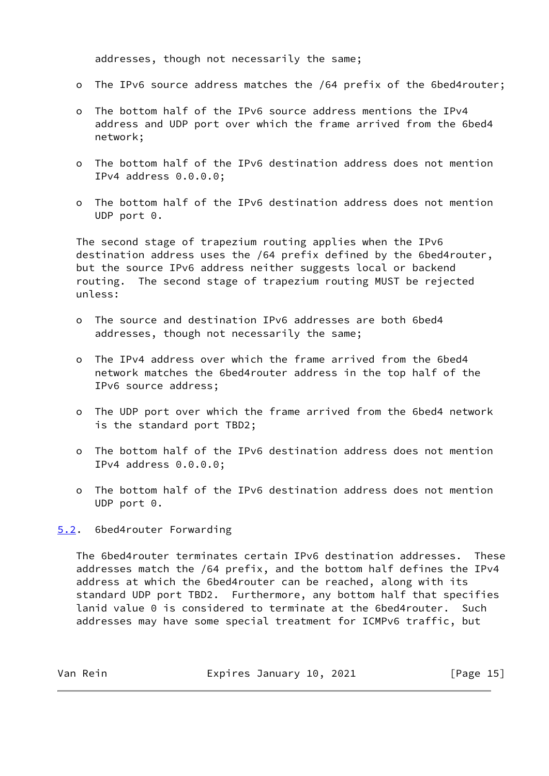addresses, though not necessarily the same;

- o The IPv6 source address matches the /64 prefix of the 6bed4router;
- o The bottom half of the IPv6 source address mentions the IPv4 address and UDP port over which the frame arrived from the 6bed4 network;
- o The bottom half of the IPv6 destination address does not mention IPv4 address 0.0.0.0;
- o The bottom half of the IPv6 destination address does not mention UDP port 0.

 The second stage of trapezium routing applies when the IPv6 destination address uses the /64 prefix defined by the 6bed4router, but the source IPv6 address neither suggests local or backend routing. The second stage of trapezium routing MUST be rejected unless:

- o The source and destination IPv6 addresses are both 6bed4 addresses, though not necessarily the same;
- o The IPv4 address over which the frame arrived from the 6bed4 network matches the 6bed4router address in the top half of the IPv6 source address;
- o The UDP port over which the frame arrived from the 6bed4 network is the standard port TBD2;
- o The bottom half of the IPv6 destination address does not mention IPv4 address 0.0.0.0;
- o The bottom half of the IPv6 destination address does not mention UDP port 0.

<span id="page-16-0"></span>[5.2](#page-16-0). 6bed4router Forwarding

 The 6bed4router terminates certain IPv6 destination addresses. These addresses match the /64 prefix, and the bottom half defines the IPv4 address at which the 6bed4router can be reached, along with its standard UDP port TBD2. Furthermore, any bottom half that specifies lanid value 0 is considered to terminate at the 6bed4router. Such addresses may have some special treatment for ICMPv6 traffic, but

| Van Rein | Expires January 10, 2021 | [Page 15] |
|----------|--------------------------|-----------|
|----------|--------------------------|-----------|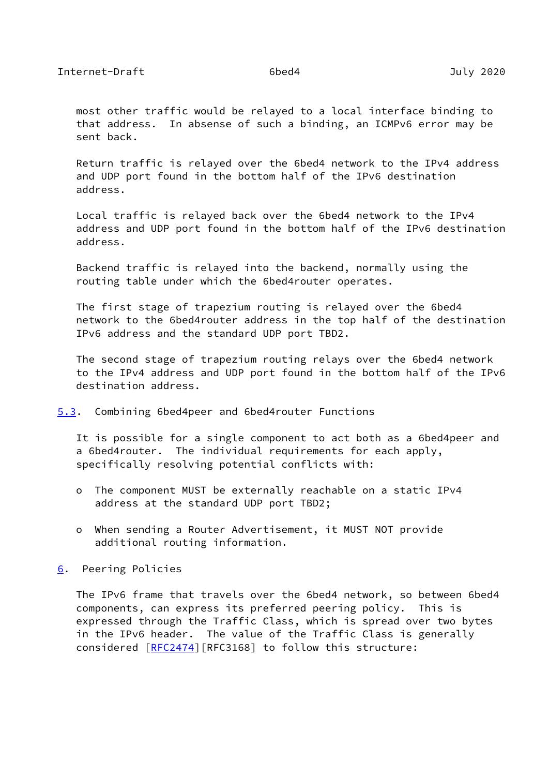<span id="page-17-1"></span> most other traffic would be relayed to a local interface binding to that address. In absense of such a binding, an ICMPv6 error may be sent back.

 Return traffic is relayed over the 6bed4 network to the IPv4 address and UDP port found in the bottom half of the IPv6 destination address.

 Local traffic is relayed back over the 6bed4 network to the IPv4 address and UDP port found in the bottom half of the IPv6 destination address.

 Backend traffic is relayed into the backend, normally using the routing table under which the 6bed4router operates.

 The first stage of trapezium routing is relayed over the 6bed4 network to the 6bed4router address in the top half of the destination IPv6 address and the standard UDP port TBD2.

 The second stage of trapezium routing relays over the 6bed4 network to the IPv4 address and UDP port found in the bottom half of the IPv6 destination address.

<span id="page-17-0"></span>[5.3](#page-17-0). Combining 6bed4peer and 6bed4router Functions

 It is possible for a single component to act both as a 6bed4peer and a 6bed4router. The individual requirements for each apply, specifically resolving potential conflicts with:

- o The component MUST be externally reachable on a static IPv4 address at the standard UDP port TBD2;
- o When sending a Router Advertisement, it MUST NOT provide additional routing information.

<span id="page-17-2"></span>[6](#page-17-2). Peering Policies

 The IPv6 frame that travels over the 6bed4 network, so between 6bed4 components, can express its preferred peering policy. This is expressed through the Traffic Class, which is spread over two bytes in the IPv6 header. The value of the Traffic Class is generally considered [[RFC2474\]](https://datatracker.ietf.org/doc/pdf/rfc2474)[RFC3168] to follow this structure: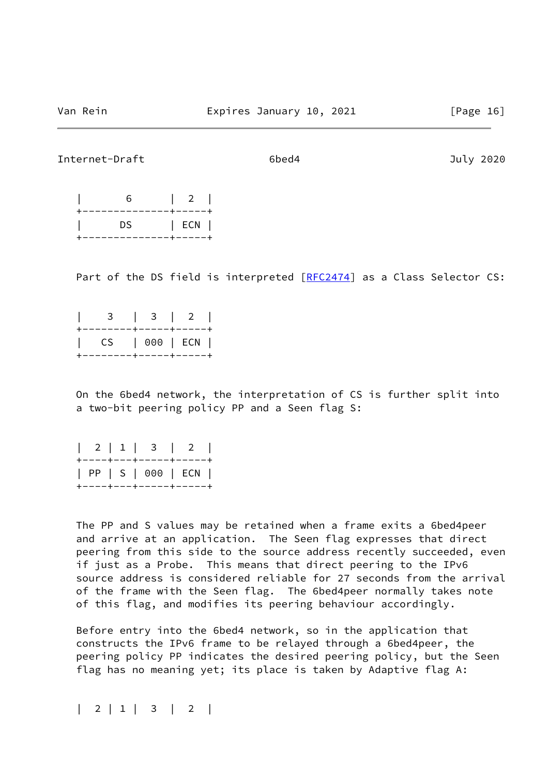### Internet-Draft 6bed4 July 2020

| . _ _ _ _ _ _ _ _ _ _ _ _ | $---++$ |
|---------------------------|---------|
| DS.                       | ECN     |
| --                        |         |

Part of the DS field is interpreted [\[RFC2474](https://datatracker.ietf.org/doc/pdf/rfc2474)] as a Class Selector CS:

|                        | 3   3   2 |  |  |
|------------------------|-----------|--|--|
| +--------+-----+-----+ |           |  |  |
| CS   000   ECN         |           |  |  |
| +--------+-----+----+  |           |  |  |

 On the 6bed4 network, the interpretation of CS is further split into a two-bit peering policy PP and a Seen flag S:

|  |  | 2   1   3   2                                                              |  |  |
|--|--|----------------------------------------------------------------------------|--|--|
|  |  | +----+---+-----+-----+<br>  PP   S   000   ECN  <br>+----+---+-----+-----+ |  |  |

 The PP and S values may be retained when a frame exits a 6bed4peer and arrive at an application. The Seen flag expresses that direct peering from this side to the source address recently succeeded, even if just as a Probe. This means that direct peering to the IPv6 source address is considered reliable for 27 seconds from the arrival of the frame with the Seen flag. The 6bed4peer normally takes note of this flag, and modifies its peering behaviour accordingly.

 Before entry into the 6bed4 network, so in the application that constructs the IPv6 frame to be relayed through a 6bed4peer, the peering policy PP indicates the desired peering policy, but the Seen flag has no meaning yet; its place is taken by Adaptive flag A:

| 2 | 1 | 3 | 2 |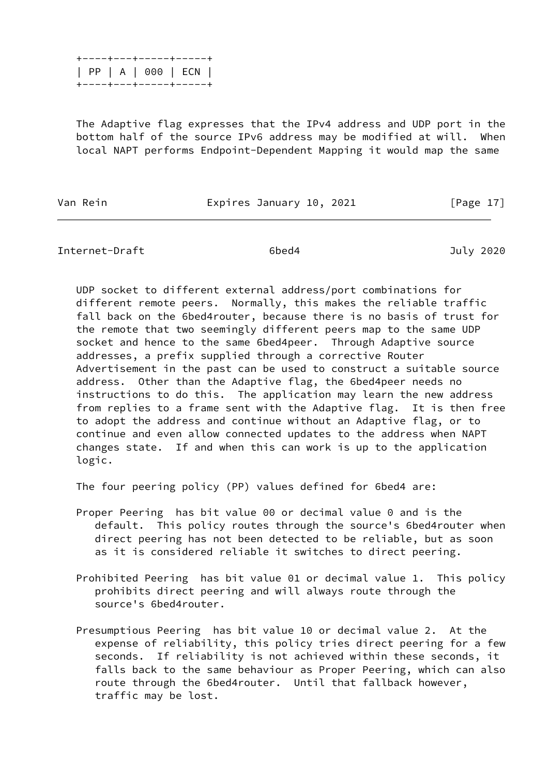|  |  |  | +----+---+-----+----+ |  |
|--|--|--|-----------------------|--|
|  |  |  | PP   A   000   ECN    |  |
|  |  |  | +----+---+-----+----+ |  |

 The Adaptive flag expresses that the IPv4 address and UDP port in the bottom half of the source IPv6 address may be modified at will. When local NAPT performs Endpoint-Dependent Mapping it would map the same

Van Rein **Expires January 10, 2021** [Page 17]

Internet-Draft 6bed4 July 2020

 UDP socket to different external address/port combinations for different remote peers. Normally, this makes the reliable traffic fall back on the 6bed4router, because there is no basis of trust for the remote that two seemingly different peers map to the same UDP socket and hence to the same 6bed4peer. Through Adaptive source addresses, a prefix supplied through a corrective Router Advertisement in the past can be used to construct a suitable source address. Other than the Adaptive flag, the 6bed4peer needs no instructions to do this. The application may learn the new address from replies to a frame sent with the Adaptive flag. It is then free to adopt the address and continue without an Adaptive flag, or to continue and even allow connected updates to the address when NAPT changes state. If and when this can work is up to the application logic.

The four peering policy (PP) values defined for 6bed4 are:

- Proper Peering has bit value 00 or decimal value 0 and is the default. This policy routes through the source's 6bed4router when direct peering has not been detected to be reliable, but as soon as it is considered reliable it switches to direct peering.
- Prohibited Peering has bit value 01 or decimal value 1. This policy prohibits direct peering and will always route through the source's 6bed4router.
- Presumptious Peering has bit value 10 or decimal value 2. At the expense of reliability, this policy tries direct peering for a few seconds. If reliability is not achieved within these seconds, it falls back to the same behaviour as Proper Peering, which can also route through the 6bed4router. Until that fallback however, traffic may be lost.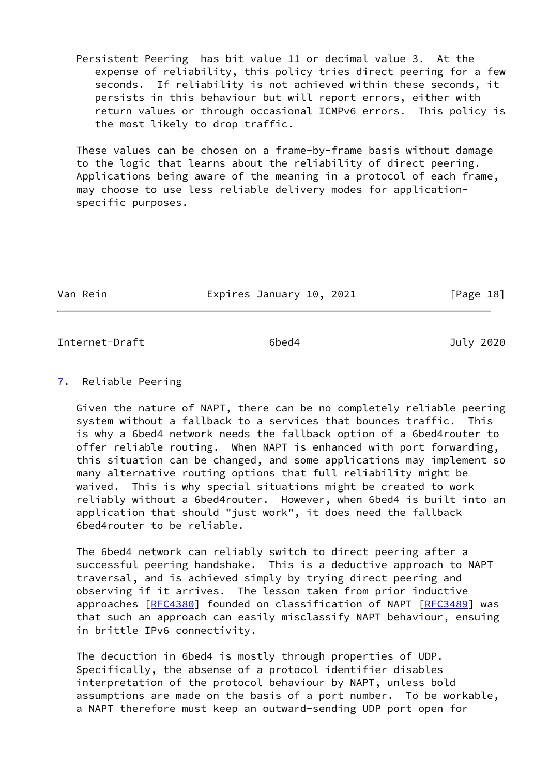Persistent Peering has bit value 11 or decimal value 3. At the expense of reliability, this policy tries direct peering for a few seconds. If reliability is not achieved within these seconds, it persists in this behaviour but will report errors, either with return values or through occasional ICMPv6 errors. This policy is the most likely to drop traffic.

 These values can be chosen on a frame-by-frame basis without damage to the logic that learns about the reliability of direct peering. Applications being aware of the meaning in a protocol of each frame, may choose to use less reliable delivery modes for application specific purposes.

Van Rein **Expires January 10, 2021** [Page 18]

<span id="page-20-1"></span>Internet-Draft 6bed4 July 2020

# <span id="page-20-0"></span>[7](#page-20-0). Reliable Peering

 Given the nature of NAPT, there can be no completely reliable peering system without a fallback to a services that bounces traffic. This is why a 6bed4 network needs the fallback option of a 6bed4router to offer reliable routing. When NAPT is enhanced with port forwarding, this situation can be changed, and some applications may implement so many alternative routing options that full reliability might be waived. This is why special situations might be created to work reliably without a 6bed4router. However, when 6bed4 is built into an application that should "just work", it does need the fallback 6bed4router to be reliable.

 The 6bed4 network can reliably switch to direct peering after a successful peering handshake. This is a deductive approach to NAPT traversal, and is achieved simply by trying direct peering and observing if it arrives. The lesson taken from prior inductive approaches [[RFC4380\]](https://datatracker.ietf.org/doc/pdf/rfc4380) founded on classification of NAPT [\[RFC3489](https://datatracker.ietf.org/doc/pdf/rfc3489)] was that such an approach can easily misclassify NAPT behaviour, ensuing in brittle IPv6 connectivity.

 The decuction in 6bed4 is mostly through properties of UDP. Specifically, the absense of a protocol identifier disables interpretation of the protocol behaviour by NAPT, unless bold assumptions are made on the basis of a port number. To be workable, a NAPT therefore must keep an outward-sending UDP port open for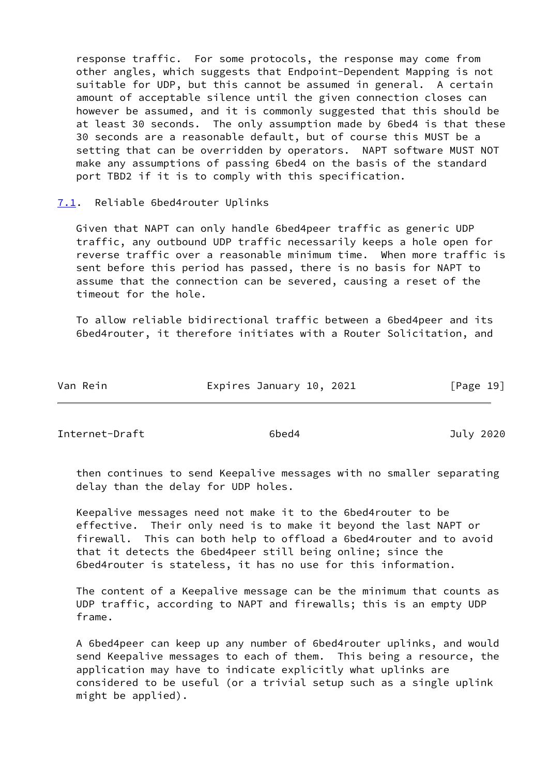response traffic. For some protocols, the response may come from other angles, which suggests that Endpoint-Dependent Mapping is not suitable for UDP, but this cannot be assumed in general. A certain amount of acceptable silence until the given connection closes can however be assumed, and it is commonly suggested that this should be at least 30 seconds. The only assumption made by 6bed4 is that these 30 seconds are a reasonable default, but of course this MUST be a setting that can be overridden by operators. NAPT software MUST NOT make any assumptions of passing 6bed4 on the basis of the standard port TBD2 if it is to comply with this specification.

<span id="page-21-0"></span>[7.1](#page-21-0). Reliable 6bed4router Uplinks

 Given that NAPT can only handle 6bed4peer traffic as generic UDP traffic, any outbound UDP traffic necessarily keeps a hole open for reverse traffic over a reasonable minimum time. When more traffic is sent before this period has passed, there is no basis for NAPT to assume that the connection can be severed, causing a reset of the timeout for the hole.

 To allow reliable bidirectional traffic between a 6bed4peer and its 6bed4router, it therefore initiates with a Router Solicitation, and

| Van Rein | Expires January 10, 2021 | [Page 19] |
|----------|--------------------------|-----------|
|----------|--------------------------|-----------|

<span id="page-21-1"></span>Internet-Draft 6bed4 July 2020

 then continues to send Keepalive messages with no smaller separating delay than the delay for UDP holes.

 Keepalive messages need not make it to the 6bed4router to be effective. Their only need is to make it beyond the last NAPT or firewall. This can both help to offload a 6bed4router and to avoid that it detects the 6bed4peer still being online; since the 6bed4router is stateless, it has no use for this information.

 The content of a Keepalive message can be the minimum that counts as UDP traffic, according to NAPT and firewalls; this is an empty UDP frame.

 A 6bed4peer can keep up any number of 6bed4router uplinks, and would send Keepalive messages to each of them. This being a resource, the application may have to indicate explicitly what uplinks are considered to be useful (or a trivial setup such as a single uplink might be applied).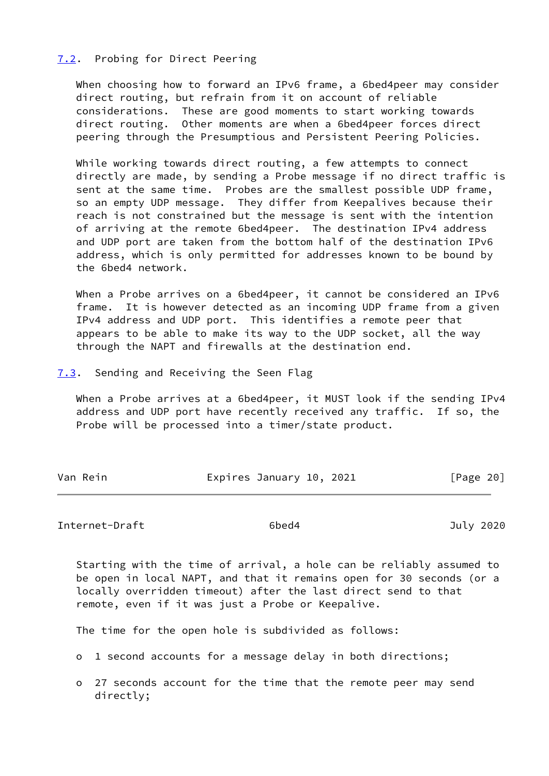# <span id="page-22-0"></span>[7.2](#page-22-0). Probing for Direct Peering

 When choosing how to forward an IPv6 frame, a 6bed4peer may consider direct routing, but refrain from it on account of reliable considerations. These are good moments to start working towards direct routing. Other moments are when a 6bed4peer forces direct peering through the Presumptious and Persistent Peering Policies.

 While working towards direct routing, a few attempts to connect directly are made, by sending a Probe message if no direct traffic is sent at the same time. Probes are the smallest possible UDP frame, so an empty UDP message. They differ from Keepalives because their reach is not constrained but the message is sent with the intention of arriving at the remote 6bed4peer. The destination IPv4 address and UDP port are taken from the bottom half of the destination IPv6 address, which is only permitted for addresses known to be bound by the 6bed4 network.

When a Probe arrives on a 6bed4peer, it cannot be considered an IPv6 frame. It is however detected as an incoming UDP frame from a given IPv4 address and UDP port. This identifies a remote peer that appears to be able to make its way to the UDP socket, all the way through the NAPT and firewalls at the destination end.

<span id="page-22-1"></span>[7.3](#page-22-1). Sending and Receiving the Seen Flag

 When a Probe arrives at a 6bed4peer, it MUST look if the sending IPv4 address and UDP port have recently received any traffic. If so, the Probe will be processed into a timer/state product.

| Van Rein | Expires January 10, 2021 | [Page 20] |
|----------|--------------------------|-----------|
|          |                          |           |

<span id="page-22-2"></span>Internet-Draft 6bed4 July 2020

 Starting with the time of arrival, a hole can be reliably assumed to be open in local NAPT, and that it remains open for 30 seconds (or a locally overridden timeout) after the last direct send to that remote, even if it was just a Probe or Keepalive.

The time for the open hole is subdivided as follows:

- o 1 second accounts for a message delay in both directions;
- o 27 seconds account for the time that the remote peer may send directly;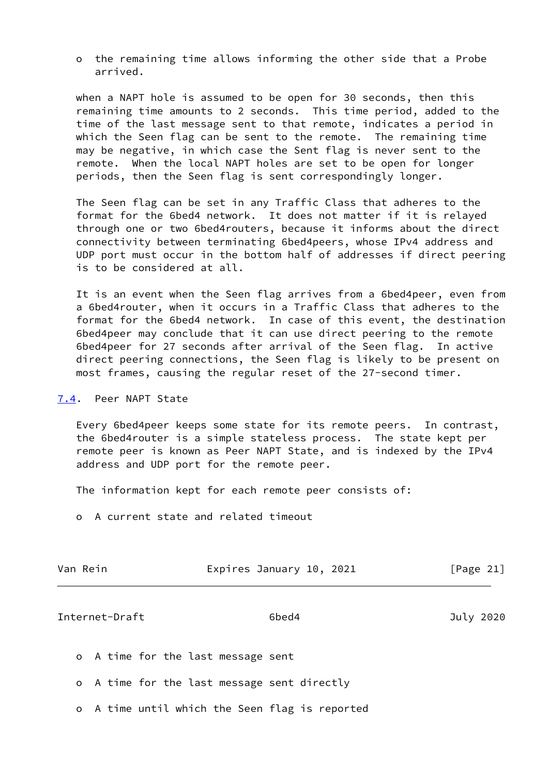o the remaining time allows informing the other side that a Probe arrived.

 when a NAPT hole is assumed to be open for 30 seconds, then this remaining time amounts to 2 seconds. This time period, added to the time of the last message sent to that remote, indicates a period in which the Seen flag can be sent to the remote. The remaining time may be negative, in which case the Sent flag is never sent to the remote. When the local NAPT holes are set to be open for longer periods, then the Seen flag is sent correspondingly longer.

 The Seen flag can be set in any Traffic Class that adheres to the format for the 6bed4 network. It does not matter if it is relayed through one or two 6bed4routers, because it informs about the direct connectivity between terminating 6bed4peers, whose IPv4 address and UDP port must occur in the bottom half of addresses if direct peering is to be considered at all.

 It is an event when the Seen flag arrives from a 6bed4peer, even from a 6bed4router, when it occurs in a Traffic Class that adheres to the format for the 6bed4 network. In case of this event, the destination 6bed4peer may conclude that it can use direct peering to the remote 6bed4peer for 27 seconds after arrival of the Seen flag. In active direct peering connections, the Seen flag is likely to be present on most frames, causing the regular reset of the 27-second timer.

# <span id="page-23-0"></span>[7.4](#page-23-0). Peer NAPT State

 Every 6bed4peer keeps some state for its remote peers. In contrast, the 6bed4router is a simple stateless process. The state kept per remote peer is known as Peer NAPT State, and is indexed by the IPv4 address and UDP port for the remote peer.

The information kept for each remote peer consists of:

o A current state and related timeout

| Van Rein | Expires January 10, 2021 | [Page 21] |
|----------|--------------------------|-----------|
|----------|--------------------------|-----------|

#### <span id="page-23-1"></span>Internet-Draft 6bed4 July 2020

o A time for the last message sent

- o A time for the last message sent directly
- o A time until which the Seen flag is reported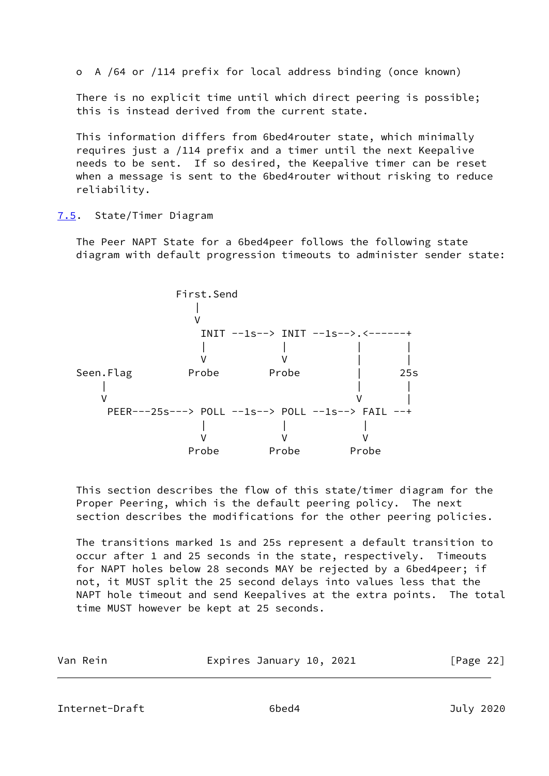o A /64 or /114 prefix for local address binding (once known)

 There is no explicit time until which direct peering is possible; this is instead derived from the current state.

 This information differs from 6bed4router state, which minimally requires just a /114 prefix and a timer until the next Keepalive needs to be sent. If so desired, the Keepalive timer can be reset when a message is sent to the 6bed4router without risking to reduce reliability.

# <span id="page-24-0"></span>[7.5](#page-24-0). State/Timer Diagram

 The Peer NAPT State for a 6bed4peer follows the following state diagram with default progression timeouts to administer sender state:



 This section describes the flow of this state/timer diagram for the Proper Peering, which is the default peering policy. The next section describes the modifications for the other peering policies.

 The transitions marked 1s and 25s represent a default transition to occur after 1 and 25 seconds in the state, respectively. Timeouts for NAPT holes below 28 seconds MAY be rejected by a 6bed4peer; if not, it MUST split the 25 second delays into values less that the NAPT hole timeout and send Keepalives at the extra points. The total time MUST however be kept at 25 seconds.

| Van Rein | Expires January 10, 2021 | [Page 22] |
|----------|--------------------------|-----------|
|          |                          |           |

<span id="page-24-1"></span>Internet-Draft 6bed4 July 2020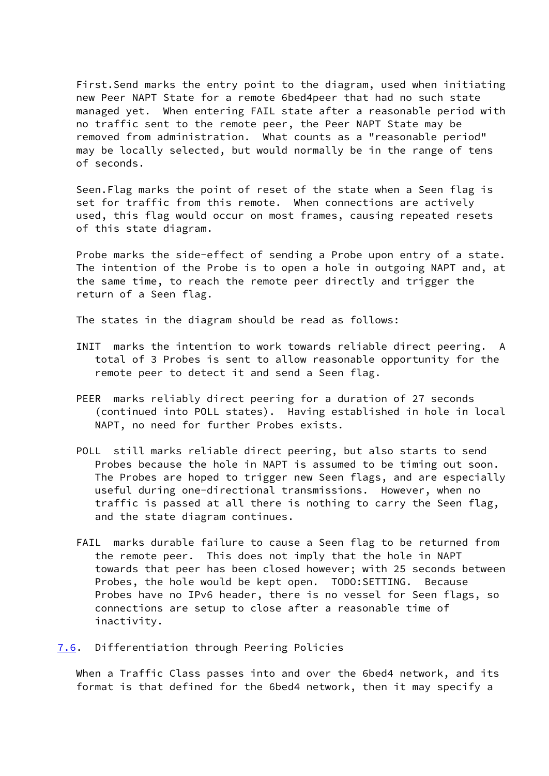First.Send marks the entry point to the diagram, used when initiating new Peer NAPT State for a remote 6bed4peer that had no such state managed yet. When entering FAIL state after a reasonable period with no traffic sent to the remote peer, the Peer NAPT State may be removed from administration. What counts as a "reasonable period" may be locally selected, but would normally be in the range of tens of seconds.

 Seen.Flag marks the point of reset of the state when a Seen flag is set for traffic from this remote. When connections are actively used, this flag would occur on most frames, causing repeated resets of this state diagram.

 Probe marks the side-effect of sending a Probe upon entry of a state. The intention of the Probe is to open a hole in outgoing NAPT and, at the same time, to reach the remote peer directly and trigger the return of a Seen flag.

The states in the diagram should be read as follows:

- INIT marks the intention to work towards reliable direct peering. A total of 3 Probes is sent to allow reasonable opportunity for the remote peer to detect it and send a Seen flag.
- PEER marks reliably direct peering for a duration of 27 seconds (continued into POLL states). Having established in hole in local NAPT, no need for further Probes exists.
- POLL still marks reliable direct peering, but also starts to send Probes because the hole in NAPT is assumed to be timing out soon. The Probes are hoped to trigger new Seen flags, and are especially useful during one-directional transmissions. However, when no traffic is passed at all there is nothing to carry the Seen flag, and the state diagram continues.
- FAIL marks durable failure to cause a Seen flag to be returned from the remote peer. This does not imply that the hole in NAPT towards that peer has been closed however; with 25 seconds between Probes, the hole would be kept open. TODO:SETTING. Because Probes have no IPv6 header, there is no vessel for Seen flags, so connections are setup to close after a reasonable time of inactivity.
- <span id="page-25-0"></span>[7.6](#page-25-0). Differentiation through Peering Policies

 When a Traffic Class passes into and over the 6bed4 network, and its format is that defined for the 6bed4 network, then it may specify a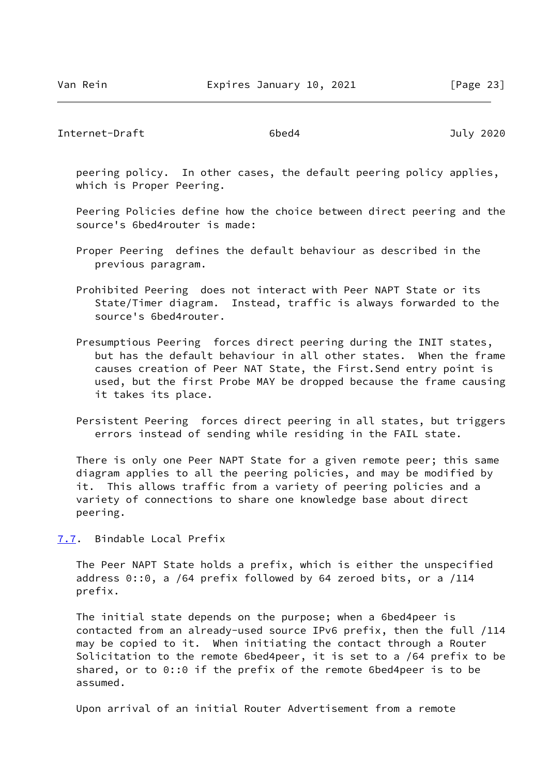<span id="page-26-1"></span> peering policy. In other cases, the default peering policy applies, which is Proper Peering.

 Peering Policies define how the choice between direct peering and the source's 6bed4router is made:

- Proper Peering defines the default behaviour as described in the previous paragram.
- Prohibited Peering does not interact with Peer NAPT State or its State/Timer diagram. Instead, traffic is always forwarded to the source's 6bed4router.
- Presumptious Peering forces direct peering during the INIT states, but has the default behaviour in all other states. When the frame causes creation of Peer NAT State, the First.Send entry point is used, but the first Probe MAY be dropped because the frame causing it takes its place.
- Persistent Peering forces direct peering in all states, but triggers errors instead of sending while residing in the FAIL state.

 There is only one Peer NAPT State for a given remote peer; this same diagram applies to all the peering policies, and may be modified by it. This allows traffic from a variety of peering policies and a variety of connections to share one knowledge base about direct peering.

<span id="page-26-0"></span>[7.7](#page-26-0). Bindable Local Prefix

 The Peer NAPT State holds a prefix, which is either the unspecified address 0::0, a /64 prefix followed by 64 zeroed bits, or a /114 prefix.

 The initial state depends on the purpose; when a 6bed4peer is contacted from an already-used source IPv6 prefix, then the full /114 may be copied to it. When initiating the contact through a Router Solicitation to the remote 6bed4peer, it is set to a /64 prefix to be shared, or to 0::0 if the prefix of the remote 6bed4peer is to be assumed.

Upon arrival of an initial Router Advertisement from a remote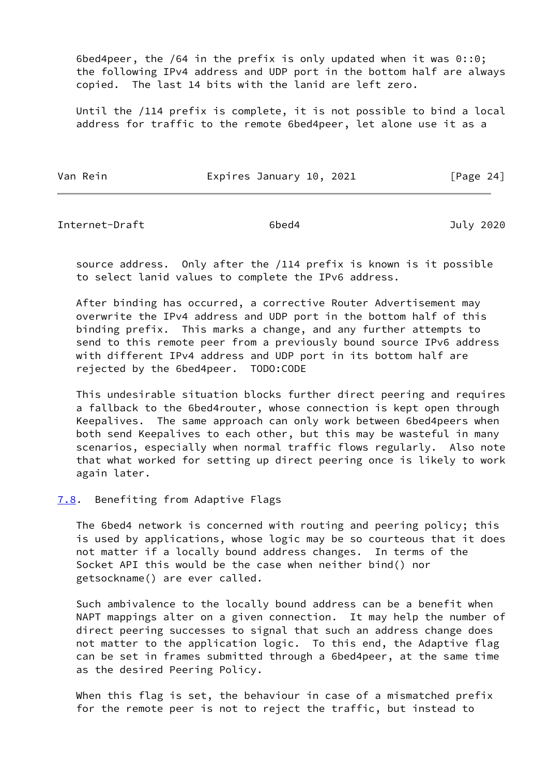6bed4peer, the /64 in the prefix is only updated when it was 0::0; the following IPv4 address and UDP port in the bottom half are always copied. The last 14 bits with the lanid are left zero.

 Until the /114 prefix is complete, it is not possible to bind a local address for traffic to the remote 6bed4peer, let alone use it as a

| Van Rein | Expires January 10, 2021 |  | [Page 24] |  |
|----------|--------------------------|--|-----------|--|
|          |                          |  |           |  |

<span id="page-27-1"></span>Internet-Draft 6bed4 July 2020

 source address. Only after the /114 prefix is known is it possible to select lanid values to complete the IPv6 address.

 After binding has occurred, a corrective Router Advertisement may overwrite the IPv4 address and UDP port in the bottom half of this binding prefix. This marks a change, and any further attempts to send to this remote peer from a previously bound source IPv6 address with different IPv4 address and UDP port in its bottom half are rejected by the 6bed4peer. TODO:CODE

 This undesirable situation blocks further direct peering and requires a fallback to the 6bed4router, whose connection is kept open through Keepalives. The same approach can only work between 6bed4peers when both send Keepalives to each other, but this may be wasteful in many scenarios, especially when normal traffic flows regularly. Also note that what worked for setting up direct peering once is likely to work again later.

### <span id="page-27-0"></span>[7.8](#page-27-0). Benefiting from Adaptive Flags

 The 6bed4 network is concerned with routing and peering policy; this is used by applications, whose logic may be so courteous that it does not matter if a locally bound address changes. In terms of the Socket API this would be the case when neither bind() nor getsockname() are ever called.

 Such ambivalence to the locally bound address can be a benefit when NAPT mappings alter on a given connection. It may help the number of direct peering successes to signal that such an address change does not matter to the application logic. To this end, the Adaptive flag can be set in frames submitted through a 6bed4peer, at the same time as the desired Peering Policy.

 When this flag is set, the behaviour in case of a mismatched prefix for the remote peer is not to reject the traffic, but instead to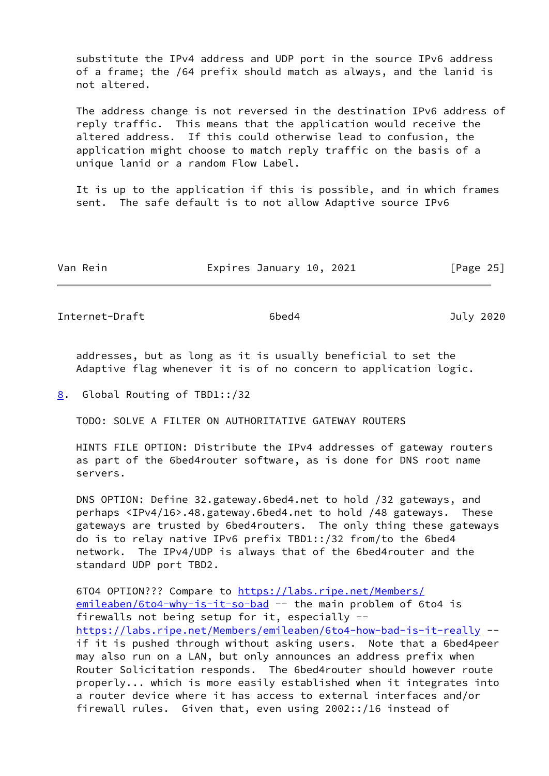substitute the IPv4 address and UDP port in the source IPv6 address of a frame; the /64 prefix should match as always, and the lanid is not altered.

 The address change is not reversed in the destination IPv6 address of reply traffic. This means that the application would receive the altered address. If this could otherwise lead to confusion, the application might choose to match reply traffic on the basis of a unique lanid or a random Flow Label.

 It is up to the application if this is possible, and in which frames sent. The safe default is to not allow Adaptive source IPv6

| Van Rein | Expires January 10, 2021 | [Page 25] |
|----------|--------------------------|-----------|
|----------|--------------------------|-----------|

<span id="page-28-1"></span>Internet-Draft 6bed4 July 2020

 addresses, but as long as it is usually beneficial to set the Adaptive flag whenever it is of no concern to application logic.

<span id="page-28-0"></span>[8](#page-28-0). Global Routing of TBD1::/32

TODO: SOLVE A FILTER ON AUTHORITATIVE GATEWAY ROUTERS

 HINTS FILE OPTION: Distribute the IPv4 addresses of gateway routers as part of the 6bed4router software, as is done for DNS root name servers.

 DNS OPTION: Define 32.gateway.6bed4.net to hold /32 gateways, and perhaps <IPv4/16>.48.gateway.6bed4.net to hold /48 gateways. These gateways are trusted by 6bed4routers. The only thing these gateways do is to relay native IPv6 prefix TBD1::/32 from/to the 6bed4 network. The IPv4/UDP is always that of the 6bed4router and the standard UDP port TBD2.

6TO4 OPTION??? Compare to [https://labs.ripe.net/Members/](https://labs.ripe.net/Members/emileaben/6to4-why-is-it-so-bad) [emileaben/6to4-why-is-it-so-bad](https://labs.ripe.net/Members/emileaben/6to4-why-is-it-so-bad) -- the main problem of 6to4 is firewalls not being setup for it, especially - <https://labs.ripe.net/Members/emileaben/6to4-how-bad-is-it-really> - if it is pushed through without asking users. Note that a 6bed4peer may also run on a LAN, but only announces an address prefix when Router Solicitation responds. The 6bed4router should however route properly... which is more easily established when it integrates into a router device where it has access to external interfaces and/or firewall rules. Given that, even using 2002::/16 instead of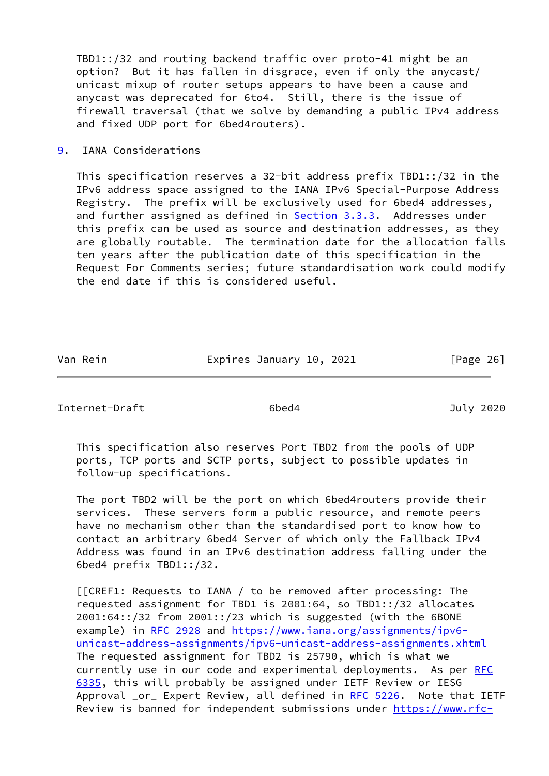TBD1::/32 and routing backend traffic over proto-41 might be an option? But it has fallen in disgrace, even if only the anycast/ unicast mixup of router setups appears to have been a cause and anycast was deprecated for 6to4. Still, there is the issue of firewall traversal (that we solve by demanding a public IPv4 address and fixed UDP port for 6bed4routers).

<span id="page-29-0"></span>[9](#page-29-0). IANA Considerations

 This specification reserves a 32-bit address prefix TBD1::/32 in the IPv6 address space assigned to the IANA IPv6 Special-Purpose Address Registry. The prefix will be exclusively used for 6bed4 addresses, and further assigned as defined in **[Section 3.3.3.](#page-9-0)** Addresses under this prefix can be used as source and destination addresses, as they are globally routable. The termination date for the allocation falls ten years after the publication date of this specification in the Request For Comments series; future standardisation work could modify the end date if this is considered useful.

Van Rein **Expires January 10, 2021** [Page 26]

<span id="page-29-1"></span>Internet-Draft 6bed4 July 2020

 This specification also reserves Port TBD2 from the pools of UDP ports, TCP ports and SCTP ports, subject to possible updates in follow-up specifications.

 The port TBD2 will be the port on which 6bed4routers provide their services. These servers form a public resource, and remote peers have no mechanism other than the standardised port to know how to contact an arbitrary 6bed4 Server of which only the Fallback IPv4 Address was found in an IPv6 destination address falling under the 6bed4 prefix TBD1::/32.

 [[CREF1: Requests to IANA / to be removed after processing: The requested assignment for TBD1 is 2001:64, so TBD1::/32 allocates 2001:64::/32 from 2001::/23 which is suggested (with the 6BONE example) in [RFC 2928](https://datatracker.ietf.org/doc/pdf/rfc2928) and [https://www.iana.org/assignments/ipv6](https://www.iana.org/assignments/ipv6-unicast-address-assignments/ipv6-unicast-address-assignments.xhtml) [unicast-address-assignments/ipv6-unicast-address-assignments.xhtml](https://www.iana.org/assignments/ipv6-unicast-address-assignments/ipv6-unicast-address-assignments.xhtml) The requested assignment for TBD2 is 25790, which is what we currently use in our code and experimental deployments. As per [RFC](https://datatracker.ietf.org/doc/pdf/rfc6335) [6335](https://datatracker.ietf.org/doc/pdf/rfc6335), this will probably be assigned under IETF Review or IESG Approval \_or\_ Expert Review, all defined in [RFC 5226.](https://datatracker.ietf.org/doc/pdf/rfc5226) Note that IETF Review is banned for independent submissions under [https://www.rfc-](https://www.rfc-editor.org/about/independent/)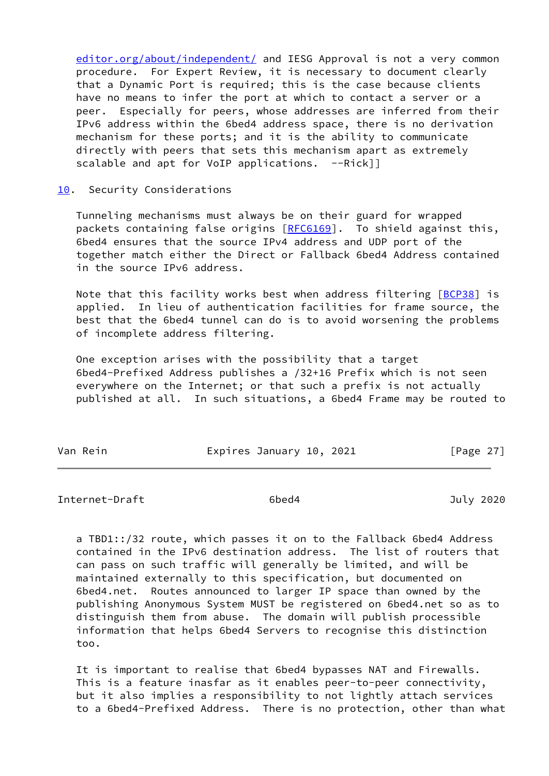[editor.org/about/independent/](https://www.rfc-editor.org/about/independent/) and IESG Approval is not a very common procedure. For Expert Review, it is necessary to document clearly that a Dynamic Port is required; this is the case because clients have no means to infer the port at which to contact a server or a peer. Especially for peers, whose addresses are inferred from their IPv6 address within the 6bed4 address space, there is no derivation mechanism for these ports; and it is the ability to communicate directly with peers that sets this mechanism apart as extremely scalable and apt for VoIP applications.  $-$ -Rick]]

### <span id="page-30-0"></span>[10.](#page-30-0) Security Considerations

 Tunneling mechanisms must always be on their guard for wrapped packets containing false origins [\[RFC6169](https://datatracker.ietf.org/doc/pdf/rfc6169)]. To shield against this, 6bed4 ensures that the source IPv4 address and UDP port of the together match either the Direct or Fallback 6bed4 Address contained in the source IPv6 address.

 Note that this facility works best when address filtering [[BCP38\]](#page-31-3) is applied. In lieu of authentication facilities for frame source, the best that the 6bed4 tunnel can do is to avoid worsening the problems of incomplete address filtering.

 One exception arises with the possibility that a target 6bed4-Prefixed Address publishes a /32+16 Prefix which is not seen everywhere on the Internet; or that such a prefix is not actually published at all. In such situations, a 6bed4 Frame may be routed to

| Van Rein | Expires January 10, 2021 | [Page 27] |
|----------|--------------------------|-----------|
|          |                          |           |

# <span id="page-30-1"></span>Internet-Draft 6bed4 July 2020

 a TBD1::/32 route, which passes it on to the Fallback 6bed4 Address contained in the IPv6 destination address. The list of routers that can pass on such traffic will generally be limited, and will be maintained externally to this specification, but documented on 6bed4.net. Routes announced to larger IP space than owned by the publishing Anonymous System MUST be registered on 6bed4.net so as to distinguish them from abuse. The domain will publish processible information that helps 6bed4 Servers to recognise this distinction too.

 It is important to realise that 6bed4 bypasses NAT and Firewalls. This is a feature inasfar as it enables peer-to-peer connectivity, but it also implies a responsibility to not lightly attach services to a 6bed4-Prefixed Address. There is no protection, other than what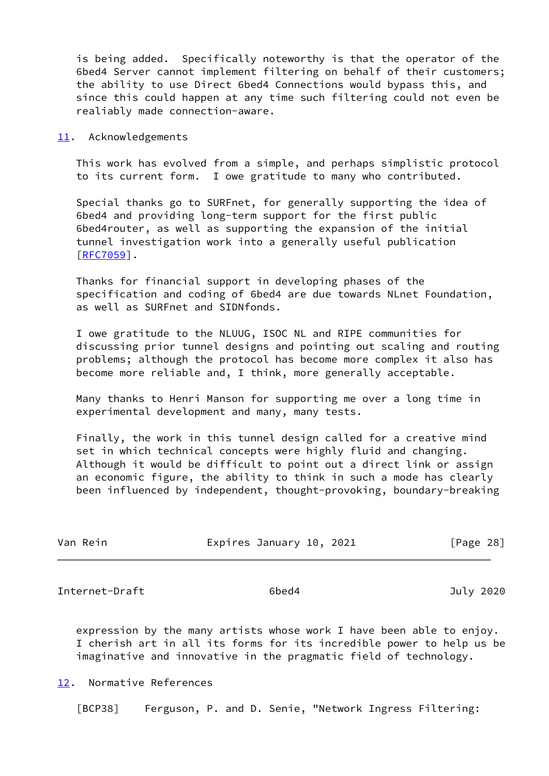is being added. Specifically noteworthy is that the operator of the 6bed4 Server cannot implement filtering on behalf of their customers; the ability to use Direct 6bed4 Connections would bypass this, and since this could happen at any time such filtering could not even be realiably made connection-aware.

#### <span id="page-31-0"></span>[11.](#page-31-0) Acknowledgements

 This work has evolved from a simple, and perhaps simplistic protocol to its current form. I owe gratitude to many who contributed.

 Special thanks go to SURFnet, for generally supporting the idea of 6bed4 and providing long-term support for the first public 6bed4router, as well as supporting the expansion of the initial tunnel investigation work into a generally useful publication [\[RFC7059](https://datatracker.ietf.org/doc/pdf/rfc7059)].

 Thanks for financial support in developing phases of the specification and coding of 6bed4 are due towards NLnet Foundation, as well as SURFnet and SIDNfonds.

 I owe gratitude to the NLUUG, ISOC NL and RIPE communities for discussing prior tunnel designs and pointing out scaling and routing problems; although the protocol has become more complex it also has become more reliable and, I think, more generally acceptable.

 Many thanks to Henri Manson for supporting me over a long time in experimental development and many, many tests.

 Finally, the work in this tunnel design called for a creative mind set in which technical concepts were highly fluid and changing. Although it would be difficult to point out a direct link or assign an economic figure, the ability to think in such a mode has clearly been influenced by independent, thought-provoking, boundary-breaking

| Van Rein | Expires January 10, 2021 | [Page 28] |
|----------|--------------------------|-----------|
|          |                          |           |

<span id="page-31-2"></span>Internet-Draft 6bed4 July 2020

 expression by the many artists whose work I have been able to enjoy. I cherish art in all its forms for its incredible power to help us be imaginative and innovative in the pragmatic field of technology.

# <span id="page-31-1"></span>[12.](#page-31-1) Normative References

<span id="page-31-3"></span>[BCP38] Ferguson, P. and D. Senie, "Network Ingress Filtering: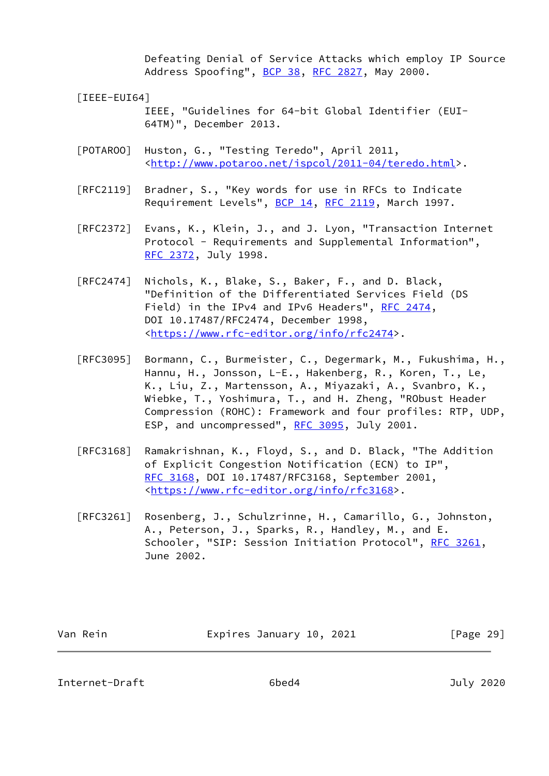Defeating Denial of Service Attacks which employ IP Source Address Spoofing", [BCP 38](https://datatracker.ietf.org/doc/pdf/bcp38), [RFC 2827](https://datatracker.ietf.org/doc/pdf/rfc2827), May 2000.

[IEEE-EUI64]

 IEEE, "Guidelines for 64-bit Global Identifier (EUI- 64TM)", December 2013.

- [POTAROO] Huston, G., "Testing Teredo", April 2011, <[http://www.potaroo.net/ispcol/2011-04/teredo.html>](http://www.potaroo.net/ispcol/2011-04/teredo.html).
- [RFC2119] Bradner, S., "Key words for use in RFCs to Indicate Requirement Levels", [BCP 14](https://datatracker.ietf.org/doc/pdf/bcp14), [RFC 2119](https://datatracker.ietf.org/doc/pdf/rfc2119), March 1997.
- [RFC2372] Evans, K., Klein, J., and J. Lyon, "Transaction Internet Protocol - Requirements and Supplemental Information", [RFC 2372,](https://datatracker.ietf.org/doc/pdf/rfc2372) July 1998.
- [RFC2474] Nichols, K., Blake, S., Baker, F., and D. Black, "Definition of the Differentiated Services Field (DS Field) in the IPv4 and IPv6 Headers", [RFC 2474](https://datatracker.ietf.org/doc/pdf/rfc2474), DOI 10.17487/RFC2474, December 1998, <[https://www.rfc-editor.org/info/rfc2474>](https://www.rfc-editor.org/info/rfc2474).
- [RFC3095] Bormann, C., Burmeister, C., Degermark, M., Fukushima, H., Hannu, H., Jonsson, L-E., Hakenberg, R., Koren, T., Le, K., Liu, Z., Martensson, A., Miyazaki, A., Svanbro, K., Wiebke, T., Yoshimura, T., and H. Zheng, "RObust Header Compression (ROHC): Framework and four profiles: RTP, UDP, ESP, and uncompressed", [RFC 3095,](https://datatracker.ietf.org/doc/pdf/rfc3095) July 2001.
- [RFC3168] Ramakrishnan, K., Floyd, S., and D. Black, "The Addition of Explicit Congestion Notification (ECN) to IP", [RFC 3168,](https://datatracker.ietf.org/doc/pdf/rfc3168) DOI 10.17487/RFC3168, September 2001, <[https://www.rfc-editor.org/info/rfc3168>](https://www.rfc-editor.org/info/rfc3168).
- [RFC3261] Rosenberg, J., Schulzrinne, H., Camarillo, G., Johnston, A., Peterson, J., Sparks, R., Handley, M., and E. Schooler, "SIP: Session Initiation Protocol", [RFC 3261](https://datatracker.ietf.org/doc/pdf/rfc3261), June 2002.

| Expires January 10, 2021<br>Van Rein | [Page 29] |
|--------------------------------------|-----------|
|--------------------------------------|-----------|

Internet-Draft 6bed4 July 2020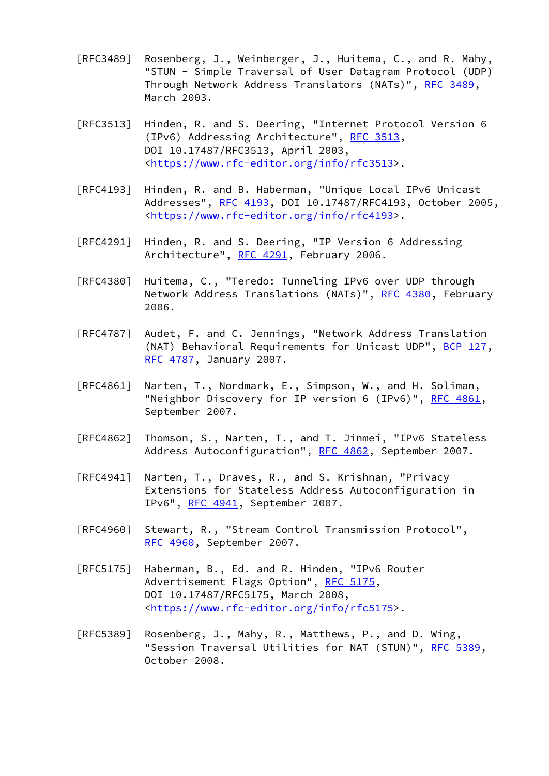- [RFC3489] Rosenberg, J., Weinberger, J., Huitema, C., and R. Mahy, "STUN - Simple Traversal of User Datagram Protocol (UDP) Through Network Address Translators (NATs)", [RFC 3489](https://datatracker.ietf.org/doc/pdf/rfc3489), March 2003.
- [RFC3513] Hinden, R. and S. Deering, "Internet Protocol Version 6 (IPv6) Addressing Architecture", [RFC 3513,](https://datatracker.ietf.org/doc/pdf/rfc3513) DOI 10.17487/RFC3513, April 2003, <[https://www.rfc-editor.org/info/rfc3513>](https://www.rfc-editor.org/info/rfc3513).
- [RFC4193] Hinden, R. and B. Haberman, "Unique Local IPv6 Unicast Addresses", [RFC 4193,](https://datatracker.ietf.org/doc/pdf/rfc4193) DOI 10.17487/RFC4193, October 2005, <[https://www.rfc-editor.org/info/rfc4193>](https://www.rfc-editor.org/info/rfc4193).
- [RFC4291] Hinden, R. and S. Deering, "IP Version 6 Addressing Architecture", [RFC 4291](https://datatracker.ietf.org/doc/pdf/rfc4291), February 2006.
- [RFC4380] Huitema, C., "Teredo: Tunneling IPv6 over UDP through Network Address Translations (NATs)", [RFC 4380](https://datatracker.ietf.org/doc/pdf/rfc4380), February 2006.
- [RFC4787] Audet, F. and C. Jennings, "Network Address Translation (NAT) Behavioral Requirements for Unicast UDP", [BCP 127](https://datatracker.ietf.org/doc/pdf/bcp127), [RFC 4787,](https://datatracker.ietf.org/doc/pdf/rfc4787) January 2007.
- [RFC4861] Narten, T., Nordmark, E., Simpson, W., and H. Soliman, "Neighbor Discovery for IP version 6 (IPv6)", [RFC 4861](https://datatracker.ietf.org/doc/pdf/rfc4861), September 2007.
- [RFC4862] Thomson, S., Narten, T., and T. Jinmei, "IPv6 Stateless Address Autoconfiguration", [RFC 4862,](https://datatracker.ietf.org/doc/pdf/rfc4862) September 2007.
- [RFC4941] Narten, T., Draves, R., and S. Krishnan, "Privacy Extensions for Stateless Address Autoconfiguration in IPv6", [RFC 4941](https://datatracker.ietf.org/doc/pdf/rfc4941), September 2007.
- [RFC4960] Stewart, R., "Stream Control Transmission Protocol", [RFC 4960,](https://datatracker.ietf.org/doc/pdf/rfc4960) September 2007.
- [RFC5175] Haberman, B., Ed. and R. Hinden, "IPv6 Router Advertisement Flags Option", [RFC 5175](https://datatracker.ietf.org/doc/pdf/rfc5175), DOI 10.17487/RFC5175, March 2008, <[https://www.rfc-editor.org/info/rfc5175>](https://www.rfc-editor.org/info/rfc5175).
- [RFC5389] Rosenberg, J., Mahy, R., Matthews, P., and D. Wing, "Session Traversal Utilities for NAT (STUN)", [RFC 5389](https://datatracker.ietf.org/doc/pdf/rfc5389), October 2008.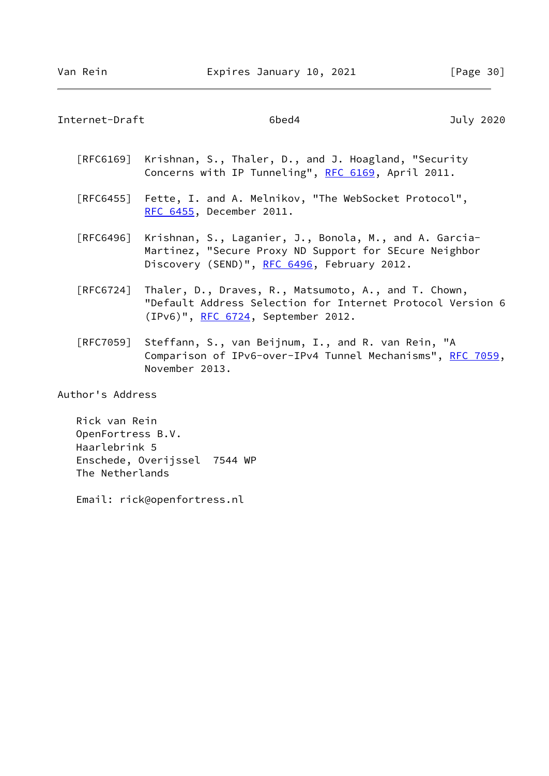<span id="page-34-0"></span>Internet-Draft 6bed4 July 2020

|                  | [RFC6169] Krishnan, S., Thaler, D., and J. Hoagland, "Security<br>Concerns with IP Tunneling", RFC 6169, April 2011.                                            |
|------------------|-----------------------------------------------------------------------------------------------------------------------------------------------------------------|
|                  | [RFC6455] Fette, I. and A. Melnikov, "The WebSocket Protocol",<br><u>RFC 6455</u> , December 2011.                                                              |
| [RFC6496]        | Krishnan, S., Laganier, J., Bonola, M., and A. Garcia-<br>Martinez, "Secure Proxy ND Support for SEcure Neighbor<br>Discovery (SEND)", RFC 6496, February 2012. |
| [RFC6724]        | Thaler, D., Draves, R., Matsumoto, A., and T. Chown,<br>"Default Address Selection for Internet Protocol Version 6<br>(IPv6)", RFC 6724, September 2012.        |
| [RFC7059]        | Steffann, S., van Beijnum, I., and R. van Rein, "A<br>Comparison of IPv6-over-IPv4 Tunnel Mechanisms", RFC 7059,<br>November 2013.                              |
| Author's Address |                                                                                                                                                                 |

 Rick van Rein OpenFortress B.V. Haarlebrink 5 Enschede, Overijssel 7544 WP The Netherlands

Email: rick@openfortress.nl